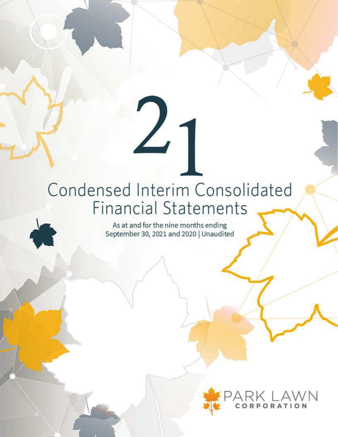# Condensed Interim Consolidated Financial Statements

 $2<sub>1</sub>$ 

As at and for the nine months ending September 30, 2021 and 2020 | Unaudited

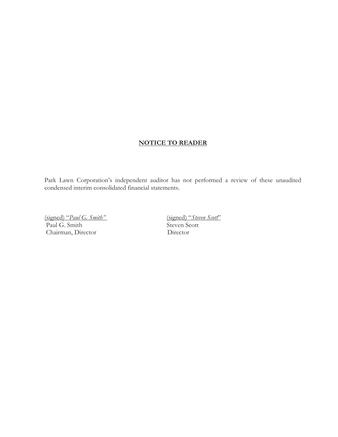# **NOTICE TO READER**

Park Lawn Corporation's independent auditor has not performed a review of these unaudited condensed interim consolidated financial statements.

(signed) "*Paul G. Smith"* (signed) "*Steven Scott*" Paul G. Smith Chairman, Director Director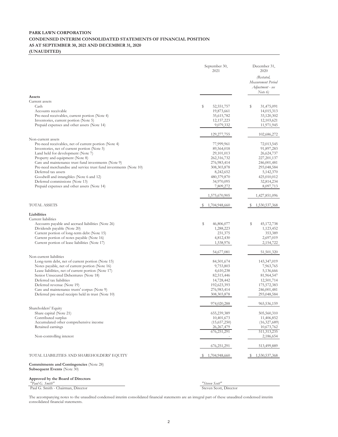#### **PARK LAWN CORPORATION CONDENSED INTERIM CONSOLIDATED STATEMENTS OF FINANCIAL POSITION AS AT SEPTEMBER 30, 2021 AND DECEMBER 31, 2020 (UNAUDITED)**

|                                                                                              | September 30,<br>2021  | December 31,<br>2020<br>(Restated,<br>Measurement Period<br>Adjustment - see<br>Note $6$ |
|----------------------------------------------------------------------------------------------|------------------------|------------------------------------------------------------------------------------------|
| Assets<br>Current assets                                                                     |                        |                                                                                          |
| Cash                                                                                         | s<br>52, 551, 757      | s<br>31,475,091                                                                          |
| Accounts receivable                                                                          | 19,873,661             | 14,015,313                                                                               |
| Pre-need receivables, current portion (Note 4)                                               | 35,615,782             | 33,120,302                                                                               |
| Inventories, current portion (Note 5)                                                        | 12, 157, 223           | 12,103,621                                                                               |
| Prepaid expenses and other assets (Note 14)                                                  | 9,079,332              | 11,971,945                                                                               |
|                                                                                              | 129, 277, 755          | 102,686,272                                                                              |
| Non-current assets<br>Pre-need receivables, net of current portion (Note 4)                  | 77,999,961             | 72,013,545                                                                               |
| Inventories, net of current portion (Note 5)                                                 | 89,564,018             | 91,897,283                                                                               |
| Land held for development (Note 7)                                                           | 29,101,013             | 26,624,737                                                                               |
| Property and equipment (Note 8)                                                              | 262,316,732            | 227, 201, 137                                                                            |
| Care and maintenance trust fund investments (Note 9)                                         | 276,983,414            | 246,001,481                                                                              |
| Pre-need merchandise and service trust fund investments (Note 10)                            | 308, 303, 878          | 293,048,584                                                                              |
| Deferred tax assets                                                                          | 8,242,652              | 5,142,370                                                                                |
| Goodwill and intangibles (Note 6 and 12)                                                     | 480,379,870            | 425,010,012                                                                              |
| Deferred commissions (Note 13)                                                               | 34,970,095             | 32,814,234                                                                               |
| Prepaid expenses and other assets (Note 14)                                                  | 7,809,272              | 8,097,713                                                                                |
|                                                                                              | 1,575,670,905          | 1,427,851,096                                                                            |
| TOTAL ASSETS                                                                                 | 1,704,948,660          | 1,530,537,368                                                                            |
| Liabilities                                                                                  |                        |                                                                                          |
| Current liabilities                                                                          |                        |                                                                                          |
| Accounts payable and accrued liabilities (Note 26)                                           | \$<br>46,806,077       | \$<br>45,172,738                                                                         |
| Dividends payable (Note 20)                                                                  | 1,288,223              | 1,123,452                                                                                |
| Current portion of long-term debt (Note 15)                                                  | 231,375                | 353,389                                                                                  |
| Current portion of notes payable (Note 16)<br>Current portion of lease liabilities (Note 17) | 4,812,430<br>1,538,976 | 2,697,019<br>2,154,722                                                                   |
|                                                                                              | 54,677,081             | 51,501,320                                                                               |
| Non-current liabilities                                                                      |                        |                                                                                          |
| Long-term debt, net of current portion (Note 15)                                             | 84,501,674             | 143,347,019                                                                              |
| Notes payable, net of current portion (Note 16)                                              | 9,753,803              | 7,963,765                                                                                |
| Lease liabilities, net of current portion (Note 17)                                          | 4,610,238              | 5,136,666                                                                                |
| Senior Unsecured Debentures (Note 18)                                                        | 82,515,446             | 81,964,547                                                                               |
| Deferred tax liabilities                                                                     | 14,728,442             | 12,501,714                                                                               |
| Deferred revenue (Note 19)                                                                   | 192,623,393            | 175,572,383                                                                              |
| Care and maintenance trusts' corpus (Note 9)                                                 | 276,983,414            | 246,001,481                                                                              |
| Deferred pre-need receipts held in trust (Note 10)                                           | 308, 303, 878          | 293,048,584                                                                              |
| Shareholders' Equity                                                                         | 974,020,288            | 965,536,159                                                                              |
| Share capital (Note 21)                                                                      | 655,239,389            | 505,560,310                                                                              |
| Contributed surplus                                                                          | 10,401,673             | 11,406,852                                                                               |
| Accumulated other comprehensive income                                                       | (15,657,250)           | (16,327,689)                                                                             |
| Retained earnings                                                                            | 26, 267, 479           | 10,673,762                                                                               |
|                                                                                              | 676,251,291            | 511, 313, 235                                                                            |
| Non-controlling interest                                                                     |                        | 2,186,654                                                                                |
|                                                                                              | 676, 251, 291          | 513,499,889                                                                              |
| TOTAL LIABILITIES AND SHAREHOLDERS' EQUITY                                                   | 1,704,948,660          | 1,530,537,368                                                                            |
| <b>Commitments and Contingencies</b> (Note 28)<br><b>Subsequent Events (Note 30)</b>         |                        |                                                                                          |
| Approved by the Board of Directors<br>"Paul G. Smith"                                        | "Steven Scott"         |                                                                                          |
| Paul G. Smith - Chairman, Director                                                           | Steven Scott, Director |                                                                                          |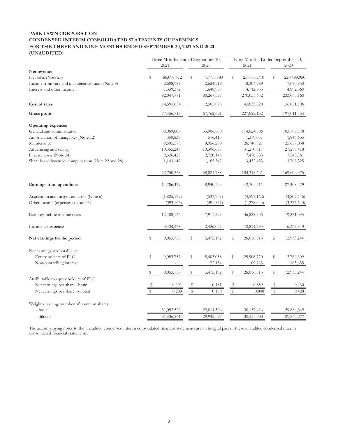#### **PARK LAWN CORPORATION CONDENSED INTERIM CONSOLIDATED STATEMENTS OF EARNINGS FOR THE THREE AND NINE MONTHS ENDED SEPTEMBER 30, 2021 AND 2020 (UNAUDITED)**

| Three Months Ended September 30,                    |               |             |             |            | Nine Months Ended September 30, |              |             |             |  |
|-----------------------------------------------------|---------------|-------------|-------------|------------|---------------------------------|--------------|-------------|-------------|--|
|                                                     |               | 2021        |             | 2020       |                                 | 2021         |             | 2020        |  |
| Net revenue                                         |               |             |             |            |                                 |              |             |             |  |
| Net sales (Note 23)                                 | \$            | 88,099,412  | \$          | 75,993,483 | \$                              | 257,037,710  | \$          | 220,499,950 |  |
| Income from care and maintenance funds (Note 9)     |               | 2,608,987   |             | 2,624,919  |                                 | 8,304,989    |             | 7,670,850   |  |
| Interest and other income                           |               | 1,339,372   |             | 1,648,995  |                                 | 4,712,953    |             | 4,892,360   |  |
|                                                     |               | 92,047,771  |             | 80,267,397 |                                 | 270,055,652  |             | 233,063,160 |  |
| Cost of sales                                       |               | 14,591,054  |             | 12,505,076 |                                 | 43,033,520   |             | 36,051,706  |  |
| Gross profit                                        |               | 77,456,717  |             | 67,762,321 |                                 | 227,022,132  |             | 197,011,454 |  |
| <b>Operating expenses</b>                           |               |             |             |            |                                 |              |             |             |  |
| General and administrative                          |               | 39,069,007  |             | 35,006,800 |                                 | 114,024,896  |             | 103,787,778 |  |
| Amortization of intangibles (Note 12)               |               | 350,838     |             | 576,415    |                                 | 1,379,051    |             | 1,846,655   |  |
| Maintenance                                         |               | 9,505,573   |             | 8,956,200  |                                 | 26,740,821   |             | 25,657,038  |  |
| Advertising and selling                             |               | 10,355,246  |             | 10,396,677 |                                 | 31,270,817   |             | 27,299,418  |  |
| Finance costs (Note 24)                             |               | 2,326,425   |             | 2,720,149  |                                 | 7,470,583    |             | 7,243,761   |  |
| Share based incentive compensation (Note 22 and 26) |               | 1,143,149   |             | 1,165,547  |                                 | 3,432,453    |             | 3,768,325   |  |
|                                                     |               | 62,750,238  |             | 58,821,788 |                                 | 184,318,621  |             | 169,602,975 |  |
| Earnings from operations                            |               | 14,706,479  |             | 8,940,533  |                                 | 42,703,511   |             | 27,408,479  |  |
| Acquisition and integration costs (Note 6)          |               | (1,825,179) |             | (537, 757) |                                 | (4,597,162)  |             | (4,809,746) |  |
| Other income (expenses) (Note 25)                   |               | (393, 165)  |             | (491, 547) |                                 | (1,278,043)  |             | (3,327,640) |  |
| Earnings before income taxes                        |               | 12,488,135  |             | 7,911,229  |                                 | 36,828,306   |             | 19,271,093  |  |
| Income tax expense                                  |               | 3,434,378   |             | 2,436,037  |                                 | 10,811,793   |             | 6,337,849   |  |
| Net earnings for the period                         | \$            | 9,053,757   | \$          | 5,475,192  | S                               | 26,016,513   | \$          | 12,933,244  |  |
| Net earnings attributable to:                       |               |             |             |            |                                 |              |             |             |  |
| Equity holders of PLC                               | ${\mathbb S}$ | 9,053,757   | \$          | 5,403,038  | \$                              | 25,906,770   | \$          | 12,769,609  |  |
| Non-controlling interest                            |               |             |             | 72,154     |                                 | 109,743      |             | 163,635     |  |
|                                                     |               | 9,053,757   | \$          | 5,475,192  | \$                              | 26,016,513   | $\mathbb S$ | 12,933,244  |  |
| Attributable to equity holders of PLC               |               |             |             |            |                                 |              |             |             |  |
| Net earnings per share - basic                      |               | 0.291       | \$          | 0.181      | \$                              | 0.859        | \$          | 0.430       |  |
| Net earnings per share - diluted                    |               | 0.288       | $\mathbb S$ | 0.180      | $\mathbb{S}$                    | 0.848        | \$          | 0.428       |  |
| Weighted average number of common shares:           |               |             |             |            |                                 |              |             |             |  |
| - basic                                             |               | 31,092,526  |             | 29,814,306 |                                 | 30, 157, 416 |             | 29,684,349  |  |
| - diluted                                           |               | 31,436,261  |             | 29,942,397 |                                 | 30,555,003   |             | 29,845,277  |  |
|                                                     |               |             |             |            |                                 |              |             |             |  |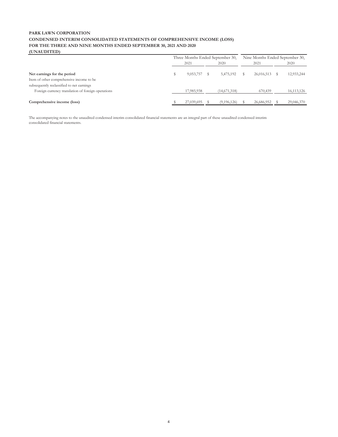#### **PARK LAWN CORPORATION CONDENSED INTERIM CONSOLIDATED STATEMENTS OF COMPREHENSIVE INCOME (LOSS) FOR THE THREE AND NINE MONTHS ENDED SEPTEMBER 30, 2021 AND 2020 (UNAUDITED)**

| 10111011110                                        |                                  |              |  |              |  |                                 |  |              |  |
|----------------------------------------------------|----------------------------------|--------------|--|--------------|--|---------------------------------|--|--------------|--|
|                                                    | Three Months Ended September 30, |              |  |              |  | Nine Months Ended September 30, |  |              |  |
|                                                    |                                  | 2021<br>2020 |  | 2021         |  | 2020                            |  |              |  |
| Net earnings for the period                        |                                  | 9,053,757    |  | 5,475,192    |  | 26,016,513                      |  | 12,933,244   |  |
| Item of other comprehensive income to be           |                                  |              |  |              |  |                                 |  |              |  |
| subsequently reclassified to net earnings          |                                  |              |  |              |  |                                 |  |              |  |
| Foreign currency translation of foreign operations |                                  | 17,985,938   |  | (14,671,318) |  | 670,439                         |  | 16, 113, 126 |  |
|                                                    |                                  |              |  |              |  |                                 |  |              |  |
| Comprehensive income (loss)                        |                                  | 27,039,695   |  | (9,196,126)  |  | 26,686,952                      |  | 29,046,370   |  |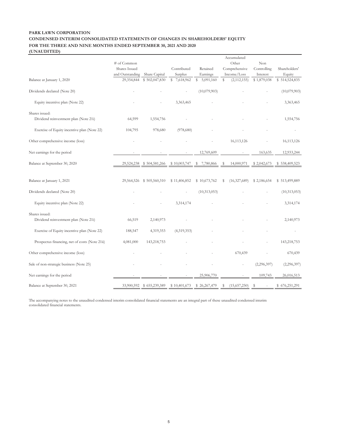#### **PARK LAWN CORPORATION CONDENSED INTERIM CONSOLIDATED STATEMENTS OF CHANGES IN SHAREHOLDERS' EQUITY FOR THE THREE AND NINE MONTHS ENDED SEPTEMBER 30, 2021 AND 2020 (UNAUDITED)**

|                                                |                                  |                                |                        |                      | Accumulated                  |                         |                         |
|------------------------------------------------|----------------------------------|--------------------------------|------------------------|----------------------|------------------------------|-------------------------|-------------------------|
|                                                | # of Common                      |                                |                        |                      | Other                        | Non                     |                         |
|                                                | Shares Issued<br>and Outstanding |                                | Contributed<br>Surplus | Retained<br>Earnings | Comprehensive<br>Income/Loss | Controlling             | Shareholders'<br>Equity |
| Balance at January 1, 2020                     | 29,354,844                       | Share Capital<br>\$502,047,830 | \$7,618,962            | \$<br>5,091,160      | \$<br>(2, 112, 155)          | Interest<br>\$1,879,038 | \$514,524,835           |
|                                                |                                  |                                |                        |                      |                              |                         |                         |
| Dividends declared (Note 20)                   |                                  |                                |                        | (10,079,903)         |                              |                         | (10,079,903)            |
| Equity incentive plan (Note 22)                |                                  |                                | 3,363,465              |                      |                              |                         | 3,363,465               |
| Shares issued:                                 |                                  |                                |                        |                      |                              |                         |                         |
| Dividend reinvestment plan (Note 21i)          | 64,599                           | 1,554,756                      |                        |                      |                              |                         | 1,554,756               |
| Exercise of Equity incentive plan (Note 22)    | 104,795                          | 978,680                        | (978,680)              |                      |                              |                         |                         |
| Other comprehensive income (loss)              |                                  |                                |                        |                      | 16,113,126                   |                         | 16, 113, 126            |
| Net earnings for the period                    |                                  |                                |                        | 12,769,609           |                              | 163,635                 | 12,933,244              |
| Balance at September 30, 2020                  | 29,524,238                       | \$504,581,266                  | \$10,003,747           | 7,780,866<br>S       | 14,000,971<br>S              | \$2,042,673             | 538,409,523<br>S        |
|                                                |                                  |                                |                        |                      |                              |                         |                         |
| Balance at January 1, 2021                     | 29,564,526                       | \$505,560,310                  | \$11,406,852           | \$10,673,762         | \$<br>(16,327,689)           | \$2,186,654             | \$513,499,889           |
| Dividends declared (Note 20)                   |                                  |                                |                        | (10,313,053)         |                              |                         | (10, 313, 053)          |
| Equity incentive plan (Note 22)                |                                  |                                | 3,314,174              |                      |                              |                         | 3,314,174               |
| Shares issued:                                 |                                  |                                |                        |                      |                              |                         |                         |
| Dividend reinvestment plan (Note 21i)          | 66,519                           | 2,140,973                      |                        |                      |                              |                         | 2,140,973               |
| Exercise of Equity incentive plan (Note 22)    | 188,547                          | 4,319,353                      | (4,319,353)            |                      |                              |                         |                         |
| Prospectus financing, net of costs (Note 21ii) | 4,081,000                        | 143,218,753                    |                        |                      |                              |                         | 143,218,753             |
| Other comprehensive income (loss)              |                                  |                                |                        |                      | 670,439                      |                         | 670,439                 |
| Sale of non-strategic business (Note 25)       |                                  |                                |                        |                      |                              | (2,296,397)             | (2, 296, 397)           |
| Net earnings for the period                    |                                  |                                |                        | 25,906,770           |                              | 109,743                 | 26,016,513              |
| Balance at September 30, 2021                  | 33,900,592                       | \$655,239,389                  | \$10,401,673           | \$26,267,479         | (15,657,250)<br>S            | \$                      | \$676,251,291           |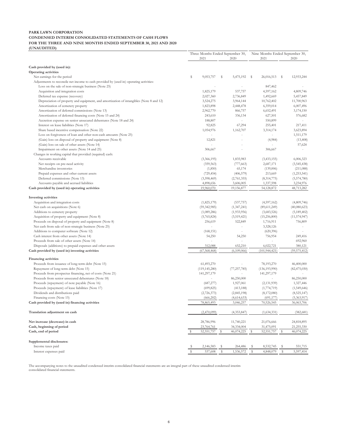#### **PARK LAWN CORPORATION CONDENSED INTERIM CONSOLIDATED STATEMENTS OF CASH FLOWS FOR THE THREE AND NINE MONTHS ENDED SEPTEMBER 30, 2021 AND 2020 (UNAUDITED)**

| 2021<br>2020<br>2021<br>2020<br>Cash provided by (used in):<br>Operating activities<br>Net earnings for the period<br>\$<br>9,053,757<br>5,475,192<br>26,016,513<br>12,933,244<br>S<br>- S<br>-S<br>Adjustments to reconcile net income to cash provided by (used in) operating activities:<br>Loss on the sale of non-strategic business (Note 25)<br>847,462<br>1,825,179<br>537,757<br>4,597,162<br>4,809,746<br>Acquisition and integration costs<br>2,027,360<br>2,736,849<br>1,492,669<br>5,457,849<br>Deferred tax expense (recovery)<br>Depreciation of property and equipment, and amortization of intangibles (Note 8 and 12)<br>10,762,402<br>11,700,963<br>3,524,275<br>3,964,144<br>1,823,898<br>2,448,478<br>6,359,014<br>6,007,496<br>Amortization of cemetery property<br>2,962,770<br>866,757<br>Amortization of deferred commissions (Note 13)<br>6,652,491<br>3,174,150<br>243,610<br>336,134<br>627,501<br>576,682<br>Amortization of deferred financing costs (Note 15 and 24)<br>Accretion expense on senior unsecured debentures (Note 18 and 24)<br>188,807<br>550,899<br>÷.<br>67,294<br>Interest on lease liabilities (Note 17)<br>92,825<br>255,401<br>217,411<br>Share based incentive compensation (Note 22)<br>1,054,976<br>1,162,707<br>3,314,174<br>3,623,894<br>Loss on forgiveness of loan and other non-cash amounts (Note 25)<br>1,511,179<br>(Gain) loss on disposal of property and equipment (Note 8)<br>12,821<br>(13, 408)<br>(4,984)<br>(Gain) loss on sale of other assets (Note 14)<br>57,624<br>÷<br>Impairment on other assets (Note 14 and 25)<br>306,667<br>306,667<br>Changes in working capital that provided (required) cash:<br>1,835,983<br>6,006,323<br>Accounts receivable<br>(3,366,195)<br>(3,433,155)<br>(359, 563)<br>2,687,171<br>(3,545,438)<br>Net receipts on pre-need activity<br>(777,663)<br>Merchandise inventories<br>(1,850)<br>65,174<br>(139,006)<br>(211,088)<br>Prepaid expenses and other current assets<br>(729, 454)<br>(406, 579)<br>213,669<br>(1, 253, 541)<br>Deferred commissions (Note 13)<br>(3,598,469)<br>(2,761,355)<br>(8,314,775)<br>(5,574,780)<br>4,898,656<br>3,606,005<br>1,337,598<br>3,234,976<br>Accounts payable and accrued liabilities<br>Cash provided by (used in) operating activities<br>19,960,070<br>19,156,877<br>54,128,872<br>48,713,282<br>Investing activities<br>Acquisition and integration costs<br>(1,825,179)<br>(537,757)<br>(4,597,162)<br>(4,809,746)<br>Net cash on acquisitions (Note 6)<br>(1, 347, 241)<br>(40,080,623)<br>(59, 342, 985)<br>(89,611,249)<br>(1,933,956)<br>(5, 189, 402)<br>Additions to cemetery property<br>(1,089,286)<br>(3,683,526)<br>Acquisition of property and equipment (Note 8)<br>(5,765,824)<br>(3,519,421)<br>(15,256,800)<br>(11, 574, 947)<br>Proceeds on disposal of property and equipment (Note 8)<br>256,619<br>522,849<br>756,809<br>1,716,911<br>3,328,126<br>Net cash from sale of non-strategic business (Note 25)<br>Additions to computer software (Note 12)<br>(168, 151)<br>(620, 396)<br>Cash interest from other assets (Note 14)<br>756,954<br>54,250<br>54,250<br>249,416<br>Proceeds from sale of other assets (Note 14)<br>692,960<br>652,210<br>312,088<br>6,022,721<br>380,121<br>Disposals (additions) to prepaid expenses and other assets<br>(67, 568, 468)<br>Cash provided by (used in) investing activities<br>(6,109,066)<br>(101, 944, 421)<br>Financing activities<br>Proceeds from issuance of long-term debt (Note 15)<br>61,493,270<br>78,193,270<br>46,400,000<br>Repayment of long-term debt (Note 15)<br>(119, 145, 280)<br>(77, 257, 785)<br>(136, 193, 990)<br>(82, 475, 030)<br>Proceeds from prospectus financing, net of costs (Note 21)<br>141,297,179<br>141,297,179<br>Proceeds from senior unsecured debentures (Note 18)<br>86,250,000<br>86,250,000<br>Proceeds (repayment) of note payable (Note 16)<br>1,927,061<br>1,327,446<br>(687, 277)<br>(2, 131, 939)<br>(699, 825)<br>(1,549,646)<br>Proceeds (repayment) of lease liabilities (Note 17)<br>(413, 188)<br>(1,774,719)<br>Dividends and distributions paid<br>(2,726,373)<br>(2,845,198)<br>(8,172,080)<br>(8,525,147)<br>Financing costs (Note 15)<br>(666.202)<br>(4.614.633)<br>(691.177)<br>(5.363.917)<br>Cash provided by (used in) financing activities<br>78,865,493<br>3,046,257<br>70,526,545<br>36,063,706<br>Translation adjustment on cash<br>(2,470,099)<br>(4,353,847)<br>(1,634,331)<br>(382, 681)<br>Net increase (decrease) in cash<br>28,786,996<br>11,740,221<br>21,076,666<br>24,818,895<br>Cash, beginning of period<br>23,764,761<br>34,334,004<br>31,475,091<br>21,255,330<br>52,551,757<br>s<br>46,074,225<br>Cash, end of period<br>s<br>52,551,757<br>s<br>46,074,225<br>Supplemental disclosures:<br>Income taxes paid<br>2,146,583<br>Ş<br>264,486<br>S<br>8,532,745<br>-S<br>551,715<br>s<br>Interest expenses paid<br>537,608<br>s<br>1,536,572<br>\$<br>4,848,079<br>s<br>5,597,414<br>\$ | Three Months Ended September 30, |  |  |  | Nine Months Ended September 30, |  |  |  |
|--------------------------------------------------------------------------------------------------------------------------------------------------------------------------------------------------------------------------------------------------------------------------------------------------------------------------------------------------------------------------------------------------------------------------------------------------------------------------------------------------------------------------------------------------------------------------------------------------------------------------------------------------------------------------------------------------------------------------------------------------------------------------------------------------------------------------------------------------------------------------------------------------------------------------------------------------------------------------------------------------------------------------------------------------------------------------------------------------------------------------------------------------------------------------------------------------------------------------------------------------------------------------------------------------------------------------------------------------------------------------------------------------------------------------------------------------------------------------------------------------------------------------------------------------------------------------------------------------------------------------------------------------------------------------------------------------------------------------------------------------------------------------------------------------------------------------------------------------------------------------------------------------------------------------------------------------------------------------------------------------------------------------------------------------------------------------------------------------------------------------------------------------------------------------------------------------------------------------------------------------------------------------------------------------------------------------------------------------------------------------------------------------------------------------------------------------------------------------------------------------------------------------------------------------------------------------------------------------------------------------------------------------------------------------------------------------------------------------------------------------------------------------------------------------------------------------------------------------------------------------------------------------------------------------------------------------------------------------------------------------------------------------------------------------------------------------------------------------------------------------------------------------------------------------------------------------------------------------------------------------------------------------------------------------------------------------------------------------------------------------------------------------------------------------------------------------------------------------------------------------------------------------------------------------------------------------------------------------------------------------------------------------------------------------------------------------------------------------------------------------------------------------------------------------------------------------------------------------------------------------------------------------------------------------------------------------------------------------------------------------------------------------------------------------------------------------------------------------------------------------------------------------------------------------------------------------------------------------------------------------------------------------------------------------------------------------------------------------------------------------------------------------------------------------------------------------------------------------------------------------------------------------------------------------------------------------------------------------------------------------------------------------------------------------------------------------------------------------------------------------------------------------------------------------------------------------------------------------------------------------------------------------------------------------------------------------------------------------------------------|----------------------------------|--|--|--|---------------------------------|--|--|--|
| (59, 575, 412)                                                                                                                                                                                                                                                                                                                                                                                                                                                                                                                                                                                                                                                                                                                                                                                                                                                                                                                                                                                                                                                                                                                                                                                                                                                                                                                                                                                                                                                                                                                                                                                                                                                                                                                                                                                                                                                                                                                                                                                                                                                                                                                                                                                                                                                                                                                                                                                                                                                                                                                                                                                                                                                                                                                                                                                                                                                                                                                                                                                                                                                                                                                                                                                                                                                                                                                                                                                                                                                                                                                                                                                                                                                                                                                                                                                                                                                                                                                                                                                                                                                                                                                                                                                                                                                                                                                                                                                                                                                                                                                                                                                                                                                                                                                                                                                                                                                                                                                                                                             |                                  |  |  |  |                                 |  |  |  |
|                                                                                                                                                                                                                                                                                                                                                                                                                                                                                                                                                                                                                                                                                                                                                                                                                                                                                                                                                                                                                                                                                                                                                                                                                                                                                                                                                                                                                                                                                                                                                                                                                                                                                                                                                                                                                                                                                                                                                                                                                                                                                                                                                                                                                                                                                                                                                                                                                                                                                                                                                                                                                                                                                                                                                                                                                                                                                                                                                                                                                                                                                                                                                                                                                                                                                                                                                                                                                                                                                                                                                                                                                                                                                                                                                                                                                                                                                                                                                                                                                                                                                                                                                                                                                                                                                                                                                                                                                                                                                                                                                                                                                                                                                                                                                                                                                                                                                                                                                                                            |                                  |  |  |  |                                 |  |  |  |
|                                                                                                                                                                                                                                                                                                                                                                                                                                                                                                                                                                                                                                                                                                                                                                                                                                                                                                                                                                                                                                                                                                                                                                                                                                                                                                                                                                                                                                                                                                                                                                                                                                                                                                                                                                                                                                                                                                                                                                                                                                                                                                                                                                                                                                                                                                                                                                                                                                                                                                                                                                                                                                                                                                                                                                                                                                                                                                                                                                                                                                                                                                                                                                                                                                                                                                                                                                                                                                                                                                                                                                                                                                                                                                                                                                                                                                                                                                                                                                                                                                                                                                                                                                                                                                                                                                                                                                                                                                                                                                                                                                                                                                                                                                                                                                                                                                                                                                                                                                                            |                                  |  |  |  |                                 |  |  |  |
|                                                                                                                                                                                                                                                                                                                                                                                                                                                                                                                                                                                                                                                                                                                                                                                                                                                                                                                                                                                                                                                                                                                                                                                                                                                                                                                                                                                                                                                                                                                                                                                                                                                                                                                                                                                                                                                                                                                                                                                                                                                                                                                                                                                                                                                                                                                                                                                                                                                                                                                                                                                                                                                                                                                                                                                                                                                                                                                                                                                                                                                                                                                                                                                                                                                                                                                                                                                                                                                                                                                                                                                                                                                                                                                                                                                                                                                                                                                                                                                                                                                                                                                                                                                                                                                                                                                                                                                                                                                                                                                                                                                                                                                                                                                                                                                                                                                                                                                                                                                            |                                  |  |  |  |                                 |  |  |  |
|                                                                                                                                                                                                                                                                                                                                                                                                                                                                                                                                                                                                                                                                                                                                                                                                                                                                                                                                                                                                                                                                                                                                                                                                                                                                                                                                                                                                                                                                                                                                                                                                                                                                                                                                                                                                                                                                                                                                                                                                                                                                                                                                                                                                                                                                                                                                                                                                                                                                                                                                                                                                                                                                                                                                                                                                                                                                                                                                                                                                                                                                                                                                                                                                                                                                                                                                                                                                                                                                                                                                                                                                                                                                                                                                                                                                                                                                                                                                                                                                                                                                                                                                                                                                                                                                                                                                                                                                                                                                                                                                                                                                                                                                                                                                                                                                                                                                                                                                                                                            |                                  |  |  |  |                                 |  |  |  |
|                                                                                                                                                                                                                                                                                                                                                                                                                                                                                                                                                                                                                                                                                                                                                                                                                                                                                                                                                                                                                                                                                                                                                                                                                                                                                                                                                                                                                                                                                                                                                                                                                                                                                                                                                                                                                                                                                                                                                                                                                                                                                                                                                                                                                                                                                                                                                                                                                                                                                                                                                                                                                                                                                                                                                                                                                                                                                                                                                                                                                                                                                                                                                                                                                                                                                                                                                                                                                                                                                                                                                                                                                                                                                                                                                                                                                                                                                                                                                                                                                                                                                                                                                                                                                                                                                                                                                                                                                                                                                                                                                                                                                                                                                                                                                                                                                                                                                                                                                                                            |                                  |  |  |  |                                 |  |  |  |
|                                                                                                                                                                                                                                                                                                                                                                                                                                                                                                                                                                                                                                                                                                                                                                                                                                                                                                                                                                                                                                                                                                                                                                                                                                                                                                                                                                                                                                                                                                                                                                                                                                                                                                                                                                                                                                                                                                                                                                                                                                                                                                                                                                                                                                                                                                                                                                                                                                                                                                                                                                                                                                                                                                                                                                                                                                                                                                                                                                                                                                                                                                                                                                                                                                                                                                                                                                                                                                                                                                                                                                                                                                                                                                                                                                                                                                                                                                                                                                                                                                                                                                                                                                                                                                                                                                                                                                                                                                                                                                                                                                                                                                                                                                                                                                                                                                                                                                                                                                                            |                                  |  |  |  |                                 |  |  |  |
|                                                                                                                                                                                                                                                                                                                                                                                                                                                                                                                                                                                                                                                                                                                                                                                                                                                                                                                                                                                                                                                                                                                                                                                                                                                                                                                                                                                                                                                                                                                                                                                                                                                                                                                                                                                                                                                                                                                                                                                                                                                                                                                                                                                                                                                                                                                                                                                                                                                                                                                                                                                                                                                                                                                                                                                                                                                                                                                                                                                                                                                                                                                                                                                                                                                                                                                                                                                                                                                                                                                                                                                                                                                                                                                                                                                                                                                                                                                                                                                                                                                                                                                                                                                                                                                                                                                                                                                                                                                                                                                                                                                                                                                                                                                                                                                                                                                                                                                                                                                            |                                  |  |  |  |                                 |  |  |  |
|                                                                                                                                                                                                                                                                                                                                                                                                                                                                                                                                                                                                                                                                                                                                                                                                                                                                                                                                                                                                                                                                                                                                                                                                                                                                                                                                                                                                                                                                                                                                                                                                                                                                                                                                                                                                                                                                                                                                                                                                                                                                                                                                                                                                                                                                                                                                                                                                                                                                                                                                                                                                                                                                                                                                                                                                                                                                                                                                                                                                                                                                                                                                                                                                                                                                                                                                                                                                                                                                                                                                                                                                                                                                                                                                                                                                                                                                                                                                                                                                                                                                                                                                                                                                                                                                                                                                                                                                                                                                                                                                                                                                                                                                                                                                                                                                                                                                                                                                                                                            |                                  |  |  |  |                                 |  |  |  |
|                                                                                                                                                                                                                                                                                                                                                                                                                                                                                                                                                                                                                                                                                                                                                                                                                                                                                                                                                                                                                                                                                                                                                                                                                                                                                                                                                                                                                                                                                                                                                                                                                                                                                                                                                                                                                                                                                                                                                                                                                                                                                                                                                                                                                                                                                                                                                                                                                                                                                                                                                                                                                                                                                                                                                                                                                                                                                                                                                                                                                                                                                                                                                                                                                                                                                                                                                                                                                                                                                                                                                                                                                                                                                                                                                                                                                                                                                                                                                                                                                                                                                                                                                                                                                                                                                                                                                                                                                                                                                                                                                                                                                                                                                                                                                                                                                                                                                                                                                                                            |                                  |  |  |  |                                 |  |  |  |
|                                                                                                                                                                                                                                                                                                                                                                                                                                                                                                                                                                                                                                                                                                                                                                                                                                                                                                                                                                                                                                                                                                                                                                                                                                                                                                                                                                                                                                                                                                                                                                                                                                                                                                                                                                                                                                                                                                                                                                                                                                                                                                                                                                                                                                                                                                                                                                                                                                                                                                                                                                                                                                                                                                                                                                                                                                                                                                                                                                                                                                                                                                                                                                                                                                                                                                                                                                                                                                                                                                                                                                                                                                                                                                                                                                                                                                                                                                                                                                                                                                                                                                                                                                                                                                                                                                                                                                                                                                                                                                                                                                                                                                                                                                                                                                                                                                                                                                                                                                                            |                                  |  |  |  |                                 |  |  |  |
|                                                                                                                                                                                                                                                                                                                                                                                                                                                                                                                                                                                                                                                                                                                                                                                                                                                                                                                                                                                                                                                                                                                                                                                                                                                                                                                                                                                                                                                                                                                                                                                                                                                                                                                                                                                                                                                                                                                                                                                                                                                                                                                                                                                                                                                                                                                                                                                                                                                                                                                                                                                                                                                                                                                                                                                                                                                                                                                                                                                                                                                                                                                                                                                                                                                                                                                                                                                                                                                                                                                                                                                                                                                                                                                                                                                                                                                                                                                                                                                                                                                                                                                                                                                                                                                                                                                                                                                                                                                                                                                                                                                                                                                                                                                                                                                                                                                                                                                                                                                            |                                  |  |  |  |                                 |  |  |  |
|                                                                                                                                                                                                                                                                                                                                                                                                                                                                                                                                                                                                                                                                                                                                                                                                                                                                                                                                                                                                                                                                                                                                                                                                                                                                                                                                                                                                                                                                                                                                                                                                                                                                                                                                                                                                                                                                                                                                                                                                                                                                                                                                                                                                                                                                                                                                                                                                                                                                                                                                                                                                                                                                                                                                                                                                                                                                                                                                                                                                                                                                                                                                                                                                                                                                                                                                                                                                                                                                                                                                                                                                                                                                                                                                                                                                                                                                                                                                                                                                                                                                                                                                                                                                                                                                                                                                                                                                                                                                                                                                                                                                                                                                                                                                                                                                                                                                                                                                                                                            |                                  |  |  |  |                                 |  |  |  |
|                                                                                                                                                                                                                                                                                                                                                                                                                                                                                                                                                                                                                                                                                                                                                                                                                                                                                                                                                                                                                                                                                                                                                                                                                                                                                                                                                                                                                                                                                                                                                                                                                                                                                                                                                                                                                                                                                                                                                                                                                                                                                                                                                                                                                                                                                                                                                                                                                                                                                                                                                                                                                                                                                                                                                                                                                                                                                                                                                                                                                                                                                                                                                                                                                                                                                                                                                                                                                                                                                                                                                                                                                                                                                                                                                                                                                                                                                                                                                                                                                                                                                                                                                                                                                                                                                                                                                                                                                                                                                                                                                                                                                                                                                                                                                                                                                                                                                                                                                                                            |                                  |  |  |  |                                 |  |  |  |
|                                                                                                                                                                                                                                                                                                                                                                                                                                                                                                                                                                                                                                                                                                                                                                                                                                                                                                                                                                                                                                                                                                                                                                                                                                                                                                                                                                                                                                                                                                                                                                                                                                                                                                                                                                                                                                                                                                                                                                                                                                                                                                                                                                                                                                                                                                                                                                                                                                                                                                                                                                                                                                                                                                                                                                                                                                                                                                                                                                                                                                                                                                                                                                                                                                                                                                                                                                                                                                                                                                                                                                                                                                                                                                                                                                                                                                                                                                                                                                                                                                                                                                                                                                                                                                                                                                                                                                                                                                                                                                                                                                                                                                                                                                                                                                                                                                                                                                                                                                                            |                                  |  |  |  |                                 |  |  |  |
|                                                                                                                                                                                                                                                                                                                                                                                                                                                                                                                                                                                                                                                                                                                                                                                                                                                                                                                                                                                                                                                                                                                                                                                                                                                                                                                                                                                                                                                                                                                                                                                                                                                                                                                                                                                                                                                                                                                                                                                                                                                                                                                                                                                                                                                                                                                                                                                                                                                                                                                                                                                                                                                                                                                                                                                                                                                                                                                                                                                                                                                                                                                                                                                                                                                                                                                                                                                                                                                                                                                                                                                                                                                                                                                                                                                                                                                                                                                                                                                                                                                                                                                                                                                                                                                                                                                                                                                                                                                                                                                                                                                                                                                                                                                                                                                                                                                                                                                                                                                            |                                  |  |  |  |                                 |  |  |  |
|                                                                                                                                                                                                                                                                                                                                                                                                                                                                                                                                                                                                                                                                                                                                                                                                                                                                                                                                                                                                                                                                                                                                                                                                                                                                                                                                                                                                                                                                                                                                                                                                                                                                                                                                                                                                                                                                                                                                                                                                                                                                                                                                                                                                                                                                                                                                                                                                                                                                                                                                                                                                                                                                                                                                                                                                                                                                                                                                                                                                                                                                                                                                                                                                                                                                                                                                                                                                                                                                                                                                                                                                                                                                                                                                                                                                                                                                                                                                                                                                                                                                                                                                                                                                                                                                                                                                                                                                                                                                                                                                                                                                                                                                                                                                                                                                                                                                                                                                                                                            |                                  |  |  |  |                                 |  |  |  |
|                                                                                                                                                                                                                                                                                                                                                                                                                                                                                                                                                                                                                                                                                                                                                                                                                                                                                                                                                                                                                                                                                                                                                                                                                                                                                                                                                                                                                                                                                                                                                                                                                                                                                                                                                                                                                                                                                                                                                                                                                                                                                                                                                                                                                                                                                                                                                                                                                                                                                                                                                                                                                                                                                                                                                                                                                                                                                                                                                                                                                                                                                                                                                                                                                                                                                                                                                                                                                                                                                                                                                                                                                                                                                                                                                                                                                                                                                                                                                                                                                                                                                                                                                                                                                                                                                                                                                                                                                                                                                                                                                                                                                                                                                                                                                                                                                                                                                                                                                                                            |                                  |  |  |  |                                 |  |  |  |
|                                                                                                                                                                                                                                                                                                                                                                                                                                                                                                                                                                                                                                                                                                                                                                                                                                                                                                                                                                                                                                                                                                                                                                                                                                                                                                                                                                                                                                                                                                                                                                                                                                                                                                                                                                                                                                                                                                                                                                                                                                                                                                                                                                                                                                                                                                                                                                                                                                                                                                                                                                                                                                                                                                                                                                                                                                                                                                                                                                                                                                                                                                                                                                                                                                                                                                                                                                                                                                                                                                                                                                                                                                                                                                                                                                                                                                                                                                                                                                                                                                                                                                                                                                                                                                                                                                                                                                                                                                                                                                                                                                                                                                                                                                                                                                                                                                                                                                                                                                                            |                                  |  |  |  |                                 |  |  |  |
|                                                                                                                                                                                                                                                                                                                                                                                                                                                                                                                                                                                                                                                                                                                                                                                                                                                                                                                                                                                                                                                                                                                                                                                                                                                                                                                                                                                                                                                                                                                                                                                                                                                                                                                                                                                                                                                                                                                                                                                                                                                                                                                                                                                                                                                                                                                                                                                                                                                                                                                                                                                                                                                                                                                                                                                                                                                                                                                                                                                                                                                                                                                                                                                                                                                                                                                                                                                                                                                                                                                                                                                                                                                                                                                                                                                                                                                                                                                                                                                                                                                                                                                                                                                                                                                                                                                                                                                                                                                                                                                                                                                                                                                                                                                                                                                                                                                                                                                                                                                            |                                  |  |  |  |                                 |  |  |  |
|                                                                                                                                                                                                                                                                                                                                                                                                                                                                                                                                                                                                                                                                                                                                                                                                                                                                                                                                                                                                                                                                                                                                                                                                                                                                                                                                                                                                                                                                                                                                                                                                                                                                                                                                                                                                                                                                                                                                                                                                                                                                                                                                                                                                                                                                                                                                                                                                                                                                                                                                                                                                                                                                                                                                                                                                                                                                                                                                                                                                                                                                                                                                                                                                                                                                                                                                                                                                                                                                                                                                                                                                                                                                                                                                                                                                                                                                                                                                                                                                                                                                                                                                                                                                                                                                                                                                                                                                                                                                                                                                                                                                                                                                                                                                                                                                                                                                                                                                                                                            |                                  |  |  |  |                                 |  |  |  |
|                                                                                                                                                                                                                                                                                                                                                                                                                                                                                                                                                                                                                                                                                                                                                                                                                                                                                                                                                                                                                                                                                                                                                                                                                                                                                                                                                                                                                                                                                                                                                                                                                                                                                                                                                                                                                                                                                                                                                                                                                                                                                                                                                                                                                                                                                                                                                                                                                                                                                                                                                                                                                                                                                                                                                                                                                                                                                                                                                                                                                                                                                                                                                                                                                                                                                                                                                                                                                                                                                                                                                                                                                                                                                                                                                                                                                                                                                                                                                                                                                                                                                                                                                                                                                                                                                                                                                                                                                                                                                                                                                                                                                                                                                                                                                                                                                                                                                                                                                                                            |                                  |  |  |  |                                 |  |  |  |
|                                                                                                                                                                                                                                                                                                                                                                                                                                                                                                                                                                                                                                                                                                                                                                                                                                                                                                                                                                                                                                                                                                                                                                                                                                                                                                                                                                                                                                                                                                                                                                                                                                                                                                                                                                                                                                                                                                                                                                                                                                                                                                                                                                                                                                                                                                                                                                                                                                                                                                                                                                                                                                                                                                                                                                                                                                                                                                                                                                                                                                                                                                                                                                                                                                                                                                                                                                                                                                                                                                                                                                                                                                                                                                                                                                                                                                                                                                                                                                                                                                                                                                                                                                                                                                                                                                                                                                                                                                                                                                                                                                                                                                                                                                                                                                                                                                                                                                                                                                                            |                                  |  |  |  |                                 |  |  |  |
|                                                                                                                                                                                                                                                                                                                                                                                                                                                                                                                                                                                                                                                                                                                                                                                                                                                                                                                                                                                                                                                                                                                                                                                                                                                                                                                                                                                                                                                                                                                                                                                                                                                                                                                                                                                                                                                                                                                                                                                                                                                                                                                                                                                                                                                                                                                                                                                                                                                                                                                                                                                                                                                                                                                                                                                                                                                                                                                                                                                                                                                                                                                                                                                                                                                                                                                                                                                                                                                                                                                                                                                                                                                                                                                                                                                                                                                                                                                                                                                                                                                                                                                                                                                                                                                                                                                                                                                                                                                                                                                                                                                                                                                                                                                                                                                                                                                                                                                                                                                            |                                  |  |  |  |                                 |  |  |  |
|                                                                                                                                                                                                                                                                                                                                                                                                                                                                                                                                                                                                                                                                                                                                                                                                                                                                                                                                                                                                                                                                                                                                                                                                                                                                                                                                                                                                                                                                                                                                                                                                                                                                                                                                                                                                                                                                                                                                                                                                                                                                                                                                                                                                                                                                                                                                                                                                                                                                                                                                                                                                                                                                                                                                                                                                                                                                                                                                                                                                                                                                                                                                                                                                                                                                                                                                                                                                                                                                                                                                                                                                                                                                                                                                                                                                                                                                                                                                                                                                                                                                                                                                                                                                                                                                                                                                                                                                                                                                                                                                                                                                                                                                                                                                                                                                                                                                                                                                                                                            |                                  |  |  |  |                                 |  |  |  |
|                                                                                                                                                                                                                                                                                                                                                                                                                                                                                                                                                                                                                                                                                                                                                                                                                                                                                                                                                                                                                                                                                                                                                                                                                                                                                                                                                                                                                                                                                                                                                                                                                                                                                                                                                                                                                                                                                                                                                                                                                                                                                                                                                                                                                                                                                                                                                                                                                                                                                                                                                                                                                                                                                                                                                                                                                                                                                                                                                                                                                                                                                                                                                                                                                                                                                                                                                                                                                                                                                                                                                                                                                                                                                                                                                                                                                                                                                                                                                                                                                                                                                                                                                                                                                                                                                                                                                                                                                                                                                                                                                                                                                                                                                                                                                                                                                                                                                                                                                                                            |                                  |  |  |  |                                 |  |  |  |
|                                                                                                                                                                                                                                                                                                                                                                                                                                                                                                                                                                                                                                                                                                                                                                                                                                                                                                                                                                                                                                                                                                                                                                                                                                                                                                                                                                                                                                                                                                                                                                                                                                                                                                                                                                                                                                                                                                                                                                                                                                                                                                                                                                                                                                                                                                                                                                                                                                                                                                                                                                                                                                                                                                                                                                                                                                                                                                                                                                                                                                                                                                                                                                                                                                                                                                                                                                                                                                                                                                                                                                                                                                                                                                                                                                                                                                                                                                                                                                                                                                                                                                                                                                                                                                                                                                                                                                                                                                                                                                                                                                                                                                                                                                                                                                                                                                                                                                                                                                                            |                                  |  |  |  |                                 |  |  |  |
|                                                                                                                                                                                                                                                                                                                                                                                                                                                                                                                                                                                                                                                                                                                                                                                                                                                                                                                                                                                                                                                                                                                                                                                                                                                                                                                                                                                                                                                                                                                                                                                                                                                                                                                                                                                                                                                                                                                                                                                                                                                                                                                                                                                                                                                                                                                                                                                                                                                                                                                                                                                                                                                                                                                                                                                                                                                                                                                                                                                                                                                                                                                                                                                                                                                                                                                                                                                                                                                                                                                                                                                                                                                                                                                                                                                                                                                                                                                                                                                                                                                                                                                                                                                                                                                                                                                                                                                                                                                                                                                                                                                                                                                                                                                                                                                                                                                                                                                                                                                            |                                  |  |  |  |                                 |  |  |  |
|                                                                                                                                                                                                                                                                                                                                                                                                                                                                                                                                                                                                                                                                                                                                                                                                                                                                                                                                                                                                                                                                                                                                                                                                                                                                                                                                                                                                                                                                                                                                                                                                                                                                                                                                                                                                                                                                                                                                                                                                                                                                                                                                                                                                                                                                                                                                                                                                                                                                                                                                                                                                                                                                                                                                                                                                                                                                                                                                                                                                                                                                                                                                                                                                                                                                                                                                                                                                                                                                                                                                                                                                                                                                                                                                                                                                                                                                                                                                                                                                                                                                                                                                                                                                                                                                                                                                                                                                                                                                                                                                                                                                                                                                                                                                                                                                                                                                                                                                                                                            |                                  |  |  |  |                                 |  |  |  |
|                                                                                                                                                                                                                                                                                                                                                                                                                                                                                                                                                                                                                                                                                                                                                                                                                                                                                                                                                                                                                                                                                                                                                                                                                                                                                                                                                                                                                                                                                                                                                                                                                                                                                                                                                                                                                                                                                                                                                                                                                                                                                                                                                                                                                                                                                                                                                                                                                                                                                                                                                                                                                                                                                                                                                                                                                                                                                                                                                                                                                                                                                                                                                                                                                                                                                                                                                                                                                                                                                                                                                                                                                                                                                                                                                                                                                                                                                                                                                                                                                                                                                                                                                                                                                                                                                                                                                                                                                                                                                                                                                                                                                                                                                                                                                                                                                                                                                                                                                                                            |                                  |  |  |  |                                 |  |  |  |
|                                                                                                                                                                                                                                                                                                                                                                                                                                                                                                                                                                                                                                                                                                                                                                                                                                                                                                                                                                                                                                                                                                                                                                                                                                                                                                                                                                                                                                                                                                                                                                                                                                                                                                                                                                                                                                                                                                                                                                                                                                                                                                                                                                                                                                                                                                                                                                                                                                                                                                                                                                                                                                                                                                                                                                                                                                                                                                                                                                                                                                                                                                                                                                                                                                                                                                                                                                                                                                                                                                                                                                                                                                                                                                                                                                                                                                                                                                                                                                                                                                                                                                                                                                                                                                                                                                                                                                                                                                                                                                                                                                                                                                                                                                                                                                                                                                                                                                                                                                                            |                                  |  |  |  |                                 |  |  |  |
|                                                                                                                                                                                                                                                                                                                                                                                                                                                                                                                                                                                                                                                                                                                                                                                                                                                                                                                                                                                                                                                                                                                                                                                                                                                                                                                                                                                                                                                                                                                                                                                                                                                                                                                                                                                                                                                                                                                                                                                                                                                                                                                                                                                                                                                                                                                                                                                                                                                                                                                                                                                                                                                                                                                                                                                                                                                                                                                                                                                                                                                                                                                                                                                                                                                                                                                                                                                                                                                                                                                                                                                                                                                                                                                                                                                                                                                                                                                                                                                                                                                                                                                                                                                                                                                                                                                                                                                                                                                                                                                                                                                                                                                                                                                                                                                                                                                                                                                                                                                            |                                  |  |  |  |                                 |  |  |  |
|                                                                                                                                                                                                                                                                                                                                                                                                                                                                                                                                                                                                                                                                                                                                                                                                                                                                                                                                                                                                                                                                                                                                                                                                                                                                                                                                                                                                                                                                                                                                                                                                                                                                                                                                                                                                                                                                                                                                                                                                                                                                                                                                                                                                                                                                                                                                                                                                                                                                                                                                                                                                                                                                                                                                                                                                                                                                                                                                                                                                                                                                                                                                                                                                                                                                                                                                                                                                                                                                                                                                                                                                                                                                                                                                                                                                                                                                                                                                                                                                                                                                                                                                                                                                                                                                                                                                                                                                                                                                                                                                                                                                                                                                                                                                                                                                                                                                                                                                                                                            |                                  |  |  |  |                                 |  |  |  |
|                                                                                                                                                                                                                                                                                                                                                                                                                                                                                                                                                                                                                                                                                                                                                                                                                                                                                                                                                                                                                                                                                                                                                                                                                                                                                                                                                                                                                                                                                                                                                                                                                                                                                                                                                                                                                                                                                                                                                                                                                                                                                                                                                                                                                                                                                                                                                                                                                                                                                                                                                                                                                                                                                                                                                                                                                                                                                                                                                                                                                                                                                                                                                                                                                                                                                                                                                                                                                                                                                                                                                                                                                                                                                                                                                                                                                                                                                                                                                                                                                                                                                                                                                                                                                                                                                                                                                                                                                                                                                                                                                                                                                                                                                                                                                                                                                                                                                                                                                                                            |                                  |  |  |  |                                 |  |  |  |
|                                                                                                                                                                                                                                                                                                                                                                                                                                                                                                                                                                                                                                                                                                                                                                                                                                                                                                                                                                                                                                                                                                                                                                                                                                                                                                                                                                                                                                                                                                                                                                                                                                                                                                                                                                                                                                                                                                                                                                                                                                                                                                                                                                                                                                                                                                                                                                                                                                                                                                                                                                                                                                                                                                                                                                                                                                                                                                                                                                                                                                                                                                                                                                                                                                                                                                                                                                                                                                                                                                                                                                                                                                                                                                                                                                                                                                                                                                                                                                                                                                                                                                                                                                                                                                                                                                                                                                                                                                                                                                                                                                                                                                                                                                                                                                                                                                                                                                                                                                                            |                                  |  |  |  |                                 |  |  |  |
|                                                                                                                                                                                                                                                                                                                                                                                                                                                                                                                                                                                                                                                                                                                                                                                                                                                                                                                                                                                                                                                                                                                                                                                                                                                                                                                                                                                                                                                                                                                                                                                                                                                                                                                                                                                                                                                                                                                                                                                                                                                                                                                                                                                                                                                                                                                                                                                                                                                                                                                                                                                                                                                                                                                                                                                                                                                                                                                                                                                                                                                                                                                                                                                                                                                                                                                                                                                                                                                                                                                                                                                                                                                                                                                                                                                                                                                                                                                                                                                                                                                                                                                                                                                                                                                                                                                                                                                                                                                                                                                                                                                                                                                                                                                                                                                                                                                                                                                                                                                            |                                  |  |  |  |                                 |  |  |  |
|                                                                                                                                                                                                                                                                                                                                                                                                                                                                                                                                                                                                                                                                                                                                                                                                                                                                                                                                                                                                                                                                                                                                                                                                                                                                                                                                                                                                                                                                                                                                                                                                                                                                                                                                                                                                                                                                                                                                                                                                                                                                                                                                                                                                                                                                                                                                                                                                                                                                                                                                                                                                                                                                                                                                                                                                                                                                                                                                                                                                                                                                                                                                                                                                                                                                                                                                                                                                                                                                                                                                                                                                                                                                                                                                                                                                                                                                                                                                                                                                                                                                                                                                                                                                                                                                                                                                                                                                                                                                                                                                                                                                                                                                                                                                                                                                                                                                                                                                                                                            |                                  |  |  |  |                                 |  |  |  |
|                                                                                                                                                                                                                                                                                                                                                                                                                                                                                                                                                                                                                                                                                                                                                                                                                                                                                                                                                                                                                                                                                                                                                                                                                                                                                                                                                                                                                                                                                                                                                                                                                                                                                                                                                                                                                                                                                                                                                                                                                                                                                                                                                                                                                                                                                                                                                                                                                                                                                                                                                                                                                                                                                                                                                                                                                                                                                                                                                                                                                                                                                                                                                                                                                                                                                                                                                                                                                                                                                                                                                                                                                                                                                                                                                                                                                                                                                                                                                                                                                                                                                                                                                                                                                                                                                                                                                                                                                                                                                                                                                                                                                                                                                                                                                                                                                                                                                                                                                                                            |                                  |  |  |  |                                 |  |  |  |
|                                                                                                                                                                                                                                                                                                                                                                                                                                                                                                                                                                                                                                                                                                                                                                                                                                                                                                                                                                                                                                                                                                                                                                                                                                                                                                                                                                                                                                                                                                                                                                                                                                                                                                                                                                                                                                                                                                                                                                                                                                                                                                                                                                                                                                                                                                                                                                                                                                                                                                                                                                                                                                                                                                                                                                                                                                                                                                                                                                                                                                                                                                                                                                                                                                                                                                                                                                                                                                                                                                                                                                                                                                                                                                                                                                                                                                                                                                                                                                                                                                                                                                                                                                                                                                                                                                                                                                                                                                                                                                                                                                                                                                                                                                                                                                                                                                                                                                                                                                                            |                                  |  |  |  |                                 |  |  |  |
|                                                                                                                                                                                                                                                                                                                                                                                                                                                                                                                                                                                                                                                                                                                                                                                                                                                                                                                                                                                                                                                                                                                                                                                                                                                                                                                                                                                                                                                                                                                                                                                                                                                                                                                                                                                                                                                                                                                                                                                                                                                                                                                                                                                                                                                                                                                                                                                                                                                                                                                                                                                                                                                                                                                                                                                                                                                                                                                                                                                                                                                                                                                                                                                                                                                                                                                                                                                                                                                                                                                                                                                                                                                                                                                                                                                                                                                                                                                                                                                                                                                                                                                                                                                                                                                                                                                                                                                                                                                                                                                                                                                                                                                                                                                                                                                                                                                                                                                                                                                            |                                  |  |  |  |                                 |  |  |  |
|                                                                                                                                                                                                                                                                                                                                                                                                                                                                                                                                                                                                                                                                                                                                                                                                                                                                                                                                                                                                                                                                                                                                                                                                                                                                                                                                                                                                                                                                                                                                                                                                                                                                                                                                                                                                                                                                                                                                                                                                                                                                                                                                                                                                                                                                                                                                                                                                                                                                                                                                                                                                                                                                                                                                                                                                                                                                                                                                                                                                                                                                                                                                                                                                                                                                                                                                                                                                                                                                                                                                                                                                                                                                                                                                                                                                                                                                                                                                                                                                                                                                                                                                                                                                                                                                                                                                                                                                                                                                                                                                                                                                                                                                                                                                                                                                                                                                                                                                                                                            |                                  |  |  |  |                                 |  |  |  |
|                                                                                                                                                                                                                                                                                                                                                                                                                                                                                                                                                                                                                                                                                                                                                                                                                                                                                                                                                                                                                                                                                                                                                                                                                                                                                                                                                                                                                                                                                                                                                                                                                                                                                                                                                                                                                                                                                                                                                                                                                                                                                                                                                                                                                                                                                                                                                                                                                                                                                                                                                                                                                                                                                                                                                                                                                                                                                                                                                                                                                                                                                                                                                                                                                                                                                                                                                                                                                                                                                                                                                                                                                                                                                                                                                                                                                                                                                                                                                                                                                                                                                                                                                                                                                                                                                                                                                                                                                                                                                                                                                                                                                                                                                                                                                                                                                                                                                                                                                                                            |                                  |  |  |  |                                 |  |  |  |
|                                                                                                                                                                                                                                                                                                                                                                                                                                                                                                                                                                                                                                                                                                                                                                                                                                                                                                                                                                                                                                                                                                                                                                                                                                                                                                                                                                                                                                                                                                                                                                                                                                                                                                                                                                                                                                                                                                                                                                                                                                                                                                                                                                                                                                                                                                                                                                                                                                                                                                                                                                                                                                                                                                                                                                                                                                                                                                                                                                                                                                                                                                                                                                                                                                                                                                                                                                                                                                                                                                                                                                                                                                                                                                                                                                                                                                                                                                                                                                                                                                                                                                                                                                                                                                                                                                                                                                                                                                                                                                                                                                                                                                                                                                                                                                                                                                                                                                                                                                                            |                                  |  |  |  |                                 |  |  |  |
|                                                                                                                                                                                                                                                                                                                                                                                                                                                                                                                                                                                                                                                                                                                                                                                                                                                                                                                                                                                                                                                                                                                                                                                                                                                                                                                                                                                                                                                                                                                                                                                                                                                                                                                                                                                                                                                                                                                                                                                                                                                                                                                                                                                                                                                                                                                                                                                                                                                                                                                                                                                                                                                                                                                                                                                                                                                                                                                                                                                                                                                                                                                                                                                                                                                                                                                                                                                                                                                                                                                                                                                                                                                                                                                                                                                                                                                                                                                                                                                                                                                                                                                                                                                                                                                                                                                                                                                                                                                                                                                                                                                                                                                                                                                                                                                                                                                                                                                                                                                            |                                  |  |  |  |                                 |  |  |  |
|                                                                                                                                                                                                                                                                                                                                                                                                                                                                                                                                                                                                                                                                                                                                                                                                                                                                                                                                                                                                                                                                                                                                                                                                                                                                                                                                                                                                                                                                                                                                                                                                                                                                                                                                                                                                                                                                                                                                                                                                                                                                                                                                                                                                                                                                                                                                                                                                                                                                                                                                                                                                                                                                                                                                                                                                                                                                                                                                                                                                                                                                                                                                                                                                                                                                                                                                                                                                                                                                                                                                                                                                                                                                                                                                                                                                                                                                                                                                                                                                                                                                                                                                                                                                                                                                                                                                                                                                                                                                                                                                                                                                                                                                                                                                                                                                                                                                                                                                                                                            |                                  |  |  |  |                                 |  |  |  |
|                                                                                                                                                                                                                                                                                                                                                                                                                                                                                                                                                                                                                                                                                                                                                                                                                                                                                                                                                                                                                                                                                                                                                                                                                                                                                                                                                                                                                                                                                                                                                                                                                                                                                                                                                                                                                                                                                                                                                                                                                                                                                                                                                                                                                                                                                                                                                                                                                                                                                                                                                                                                                                                                                                                                                                                                                                                                                                                                                                                                                                                                                                                                                                                                                                                                                                                                                                                                                                                                                                                                                                                                                                                                                                                                                                                                                                                                                                                                                                                                                                                                                                                                                                                                                                                                                                                                                                                                                                                                                                                                                                                                                                                                                                                                                                                                                                                                                                                                                                                            |                                  |  |  |  |                                 |  |  |  |
|                                                                                                                                                                                                                                                                                                                                                                                                                                                                                                                                                                                                                                                                                                                                                                                                                                                                                                                                                                                                                                                                                                                                                                                                                                                                                                                                                                                                                                                                                                                                                                                                                                                                                                                                                                                                                                                                                                                                                                                                                                                                                                                                                                                                                                                                                                                                                                                                                                                                                                                                                                                                                                                                                                                                                                                                                                                                                                                                                                                                                                                                                                                                                                                                                                                                                                                                                                                                                                                                                                                                                                                                                                                                                                                                                                                                                                                                                                                                                                                                                                                                                                                                                                                                                                                                                                                                                                                                                                                                                                                                                                                                                                                                                                                                                                                                                                                                                                                                                                                            |                                  |  |  |  |                                 |  |  |  |
|                                                                                                                                                                                                                                                                                                                                                                                                                                                                                                                                                                                                                                                                                                                                                                                                                                                                                                                                                                                                                                                                                                                                                                                                                                                                                                                                                                                                                                                                                                                                                                                                                                                                                                                                                                                                                                                                                                                                                                                                                                                                                                                                                                                                                                                                                                                                                                                                                                                                                                                                                                                                                                                                                                                                                                                                                                                                                                                                                                                                                                                                                                                                                                                                                                                                                                                                                                                                                                                                                                                                                                                                                                                                                                                                                                                                                                                                                                                                                                                                                                                                                                                                                                                                                                                                                                                                                                                                                                                                                                                                                                                                                                                                                                                                                                                                                                                                                                                                                                                            |                                  |  |  |  |                                 |  |  |  |
|                                                                                                                                                                                                                                                                                                                                                                                                                                                                                                                                                                                                                                                                                                                                                                                                                                                                                                                                                                                                                                                                                                                                                                                                                                                                                                                                                                                                                                                                                                                                                                                                                                                                                                                                                                                                                                                                                                                                                                                                                                                                                                                                                                                                                                                                                                                                                                                                                                                                                                                                                                                                                                                                                                                                                                                                                                                                                                                                                                                                                                                                                                                                                                                                                                                                                                                                                                                                                                                                                                                                                                                                                                                                                                                                                                                                                                                                                                                                                                                                                                                                                                                                                                                                                                                                                                                                                                                                                                                                                                                                                                                                                                                                                                                                                                                                                                                                                                                                                                                            |                                  |  |  |  |                                 |  |  |  |
|                                                                                                                                                                                                                                                                                                                                                                                                                                                                                                                                                                                                                                                                                                                                                                                                                                                                                                                                                                                                                                                                                                                                                                                                                                                                                                                                                                                                                                                                                                                                                                                                                                                                                                                                                                                                                                                                                                                                                                                                                                                                                                                                                                                                                                                                                                                                                                                                                                                                                                                                                                                                                                                                                                                                                                                                                                                                                                                                                                                                                                                                                                                                                                                                                                                                                                                                                                                                                                                                                                                                                                                                                                                                                                                                                                                                                                                                                                                                                                                                                                                                                                                                                                                                                                                                                                                                                                                                                                                                                                                                                                                                                                                                                                                                                                                                                                                                                                                                                                                            |                                  |  |  |  |                                 |  |  |  |
|                                                                                                                                                                                                                                                                                                                                                                                                                                                                                                                                                                                                                                                                                                                                                                                                                                                                                                                                                                                                                                                                                                                                                                                                                                                                                                                                                                                                                                                                                                                                                                                                                                                                                                                                                                                                                                                                                                                                                                                                                                                                                                                                                                                                                                                                                                                                                                                                                                                                                                                                                                                                                                                                                                                                                                                                                                                                                                                                                                                                                                                                                                                                                                                                                                                                                                                                                                                                                                                                                                                                                                                                                                                                                                                                                                                                                                                                                                                                                                                                                                                                                                                                                                                                                                                                                                                                                                                                                                                                                                                                                                                                                                                                                                                                                                                                                                                                                                                                                                                            |                                  |  |  |  |                                 |  |  |  |
|                                                                                                                                                                                                                                                                                                                                                                                                                                                                                                                                                                                                                                                                                                                                                                                                                                                                                                                                                                                                                                                                                                                                                                                                                                                                                                                                                                                                                                                                                                                                                                                                                                                                                                                                                                                                                                                                                                                                                                                                                                                                                                                                                                                                                                                                                                                                                                                                                                                                                                                                                                                                                                                                                                                                                                                                                                                                                                                                                                                                                                                                                                                                                                                                                                                                                                                                                                                                                                                                                                                                                                                                                                                                                                                                                                                                                                                                                                                                                                                                                                                                                                                                                                                                                                                                                                                                                                                                                                                                                                                                                                                                                                                                                                                                                                                                                                                                                                                                                                                            |                                  |  |  |  |                                 |  |  |  |
|                                                                                                                                                                                                                                                                                                                                                                                                                                                                                                                                                                                                                                                                                                                                                                                                                                                                                                                                                                                                                                                                                                                                                                                                                                                                                                                                                                                                                                                                                                                                                                                                                                                                                                                                                                                                                                                                                                                                                                                                                                                                                                                                                                                                                                                                                                                                                                                                                                                                                                                                                                                                                                                                                                                                                                                                                                                                                                                                                                                                                                                                                                                                                                                                                                                                                                                                                                                                                                                                                                                                                                                                                                                                                                                                                                                                                                                                                                                                                                                                                                                                                                                                                                                                                                                                                                                                                                                                                                                                                                                                                                                                                                                                                                                                                                                                                                                                                                                                                                                            |                                  |  |  |  |                                 |  |  |  |
|                                                                                                                                                                                                                                                                                                                                                                                                                                                                                                                                                                                                                                                                                                                                                                                                                                                                                                                                                                                                                                                                                                                                                                                                                                                                                                                                                                                                                                                                                                                                                                                                                                                                                                                                                                                                                                                                                                                                                                                                                                                                                                                                                                                                                                                                                                                                                                                                                                                                                                                                                                                                                                                                                                                                                                                                                                                                                                                                                                                                                                                                                                                                                                                                                                                                                                                                                                                                                                                                                                                                                                                                                                                                                                                                                                                                                                                                                                                                                                                                                                                                                                                                                                                                                                                                                                                                                                                                                                                                                                                                                                                                                                                                                                                                                                                                                                                                                                                                                                                            |                                  |  |  |  |                                 |  |  |  |
|                                                                                                                                                                                                                                                                                                                                                                                                                                                                                                                                                                                                                                                                                                                                                                                                                                                                                                                                                                                                                                                                                                                                                                                                                                                                                                                                                                                                                                                                                                                                                                                                                                                                                                                                                                                                                                                                                                                                                                                                                                                                                                                                                                                                                                                                                                                                                                                                                                                                                                                                                                                                                                                                                                                                                                                                                                                                                                                                                                                                                                                                                                                                                                                                                                                                                                                                                                                                                                                                                                                                                                                                                                                                                                                                                                                                                                                                                                                                                                                                                                                                                                                                                                                                                                                                                                                                                                                                                                                                                                                                                                                                                                                                                                                                                                                                                                                                                                                                                                                            |                                  |  |  |  |                                 |  |  |  |
|                                                                                                                                                                                                                                                                                                                                                                                                                                                                                                                                                                                                                                                                                                                                                                                                                                                                                                                                                                                                                                                                                                                                                                                                                                                                                                                                                                                                                                                                                                                                                                                                                                                                                                                                                                                                                                                                                                                                                                                                                                                                                                                                                                                                                                                                                                                                                                                                                                                                                                                                                                                                                                                                                                                                                                                                                                                                                                                                                                                                                                                                                                                                                                                                                                                                                                                                                                                                                                                                                                                                                                                                                                                                                                                                                                                                                                                                                                                                                                                                                                                                                                                                                                                                                                                                                                                                                                                                                                                                                                                                                                                                                                                                                                                                                                                                                                                                                                                                                                                            |                                  |  |  |  |                                 |  |  |  |
|                                                                                                                                                                                                                                                                                                                                                                                                                                                                                                                                                                                                                                                                                                                                                                                                                                                                                                                                                                                                                                                                                                                                                                                                                                                                                                                                                                                                                                                                                                                                                                                                                                                                                                                                                                                                                                                                                                                                                                                                                                                                                                                                                                                                                                                                                                                                                                                                                                                                                                                                                                                                                                                                                                                                                                                                                                                                                                                                                                                                                                                                                                                                                                                                                                                                                                                                                                                                                                                                                                                                                                                                                                                                                                                                                                                                                                                                                                                                                                                                                                                                                                                                                                                                                                                                                                                                                                                                                                                                                                                                                                                                                                                                                                                                                                                                                                                                                                                                                                                            |                                  |  |  |  |                                 |  |  |  |
|                                                                                                                                                                                                                                                                                                                                                                                                                                                                                                                                                                                                                                                                                                                                                                                                                                                                                                                                                                                                                                                                                                                                                                                                                                                                                                                                                                                                                                                                                                                                                                                                                                                                                                                                                                                                                                                                                                                                                                                                                                                                                                                                                                                                                                                                                                                                                                                                                                                                                                                                                                                                                                                                                                                                                                                                                                                                                                                                                                                                                                                                                                                                                                                                                                                                                                                                                                                                                                                                                                                                                                                                                                                                                                                                                                                                                                                                                                                                                                                                                                                                                                                                                                                                                                                                                                                                                                                                                                                                                                                                                                                                                                                                                                                                                                                                                                                                                                                                                                                            |                                  |  |  |  |                                 |  |  |  |
|                                                                                                                                                                                                                                                                                                                                                                                                                                                                                                                                                                                                                                                                                                                                                                                                                                                                                                                                                                                                                                                                                                                                                                                                                                                                                                                                                                                                                                                                                                                                                                                                                                                                                                                                                                                                                                                                                                                                                                                                                                                                                                                                                                                                                                                                                                                                                                                                                                                                                                                                                                                                                                                                                                                                                                                                                                                                                                                                                                                                                                                                                                                                                                                                                                                                                                                                                                                                                                                                                                                                                                                                                                                                                                                                                                                                                                                                                                                                                                                                                                                                                                                                                                                                                                                                                                                                                                                                                                                                                                                                                                                                                                                                                                                                                                                                                                                                                                                                                                                            |                                  |  |  |  |                                 |  |  |  |
|                                                                                                                                                                                                                                                                                                                                                                                                                                                                                                                                                                                                                                                                                                                                                                                                                                                                                                                                                                                                                                                                                                                                                                                                                                                                                                                                                                                                                                                                                                                                                                                                                                                                                                                                                                                                                                                                                                                                                                                                                                                                                                                                                                                                                                                                                                                                                                                                                                                                                                                                                                                                                                                                                                                                                                                                                                                                                                                                                                                                                                                                                                                                                                                                                                                                                                                                                                                                                                                                                                                                                                                                                                                                                                                                                                                                                                                                                                                                                                                                                                                                                                                                                                                                                                                                                                                                                                                                                                                                                                                                                                                                                                                                                                                                                                                                                                                                                                                                                                                            |                                  |  |  |  |                                 |  |  |  |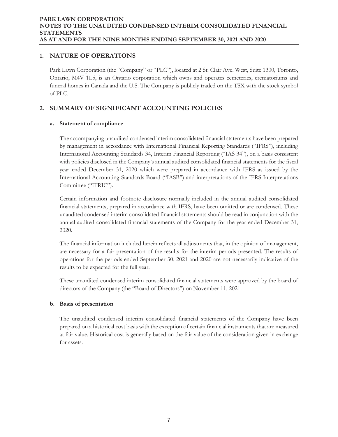# **1. NATURE OF OPERATIONS**

Park Lawn Corporation (the "Company" or "PLC"), located at 2 St. Clair Ave. West, Suite 1300, Toronto, Ontario, M4V 1L5, is an Ontario corporation which owns and operates cemeteries, crematoriums and funeral homes in Canada and the U.S. The Company is publicly traded on the TSX with the stock symbol of PLC.

# **2. SUMMARY OF SIGNIFICANT ACCOUNTING POLICIES**

## **a. Statement of compliance**

The accompanying unaudited condensed interim consolidated financial statements have been prepared by management in accordance with International Financial Reporting Standards ("IFRS"), including International Accounting Standards 34, Interim Financial Reporting ("IAS 34"), on a basis consistent with policies disclosed in the Company's annual audited consolidated financial statements for the fiscal year ended December 31, 2020 which were prepared in accordance with IFRS as issued by the International Accounting Standards Board ("IASB") and interpretations of the IFRS Interpretations Committee ("IFRIC").

Certain information and footnote disclosure normally included in the annual audited consolidated financial statements, prepared in accordance with IFRS, have been omitted or are condensed. These unaudited condensed interim consolidated financial statements should be read in conjunction with the annual audited consolidated financial statements of the Company for the year ended December 31, 2020.

The financial information included herein reflects all adjustments that, in the opinion of management, are necessary for a fair presentation of the results for the interim periods presented. The results of operations for the periods ended September 30, 2021 and 2020 are not necessarily indicative of the results to be expected for the full year.

These unaudited condensed interim consolidated financial statements were approved by the board of directors of the Company (the "Board of Directors") on November 11, 2021.

## **b. Basis of presentation**

The unaudited condensed interim consolidated financial statements of the Company have been prepared on a historical cost basis with the exception of certain financial instruments that are measured at fair value. Historical cost is generally based on the fair value of the consideration given in exchange for assets.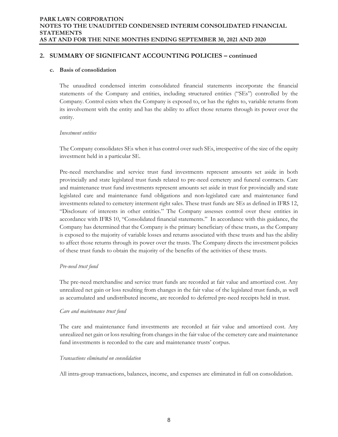## **2. SUMMARY OF SIGNIFICANT ACCOUNTING POLICIES – continued**

#### **c. Basis of consolidation**

The unaudited condensed interim consolidated financial statements incorporate the financial statements of the Company and entities, including structured entities ("SEs") controlled by the Company. Control exists when the Company is exposed to, or has the rights to, variable returns from its involvement with the entity and has the ability to affect those returns through its power over the entity.

#### *Investment entities*

The Company consolidates SEs when it has control over such SEs, irrespective of the size of the equity investment held in a particular SE.

Pre-need merchandise and service trust fund investments represent amounts set aside in both provincially and state legislated trust funds related to pre-need cemetery and funeral contracts. Care and maintenance trust fund investments represent amounts set aside in trust for provincially and state legislated care and maintenance fund obligations and non-legislated care and maintenance fund investments related to cemetery interment right sales. These trust funds are SEs as defined in IFRS 12, "Disclosure of interests in other entities." The Company assesses control over these entities in accordance with IFRS 10, "Consolidated financial statements." In accordance with this guidance, the Company has determined that the Company is the primary beneficiary of these trusts, as the Company is exposed to the majority of variable losses and returns associated with these trusts and has the ability to affect those returns through its power over the trusts. The Company directs the investment policies of these trust funds to obtain the majority of the benefits of the activities of these trusts.

#### *Pre-need trust fund*

The pre-need merchandise and service trust funds are recorded at fair value and amortized cost. Any unrealized net gain or loss resulting from changes in the fair value of the legislated trust funds, as well as accumulated and undistributed income, are recorded to deferred pre-need receipts held in trust.

#### *Care and maintenance trust fund*

The care and maintenance fund investments are recorded at fair value and amortized cost. Any unrealized net gain or loss resulting from changes in the fair value of the cemetery care and maintenance fund investments is recorded to the care and maintenance trusts' corpus.

## *Transactions eliminated on consolidation*

All intra-group transactions, balances, income, and expenses are eliminated in full on consolidation.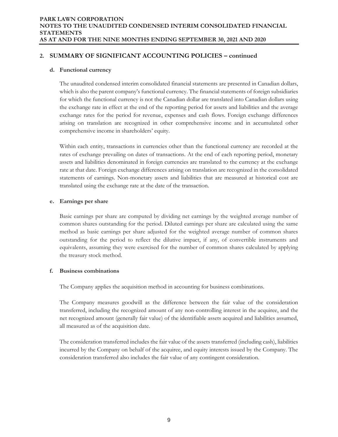# **2. SUMMARY OF SIGNIFICANT ACCOUNTING POLICIES – continued**

#### **d. Functional currency**

The unaudited condensed interim consolidated financial statements are presented in Canadian dollars, which is also the parent company's functional currency. The financial statements of foreign subsidiaries for which the functional currency is not the Canadian dollar are translated into Canadian dollars using the exchange rate in effect at the end of the reporting period for assets and liabilities and the average exchange rates for the period for revenue, expenses and cash flows. Foreign exchange differences arising on translation are recognized in other comprehensive income and in accumulated other comprehensive income in shareholders' equity.

Within each entity, transactions in currencies other than the functional currency are recorded at the rates of exchange prevailing on dates of transactions. At the end of each reporting period, monetary assets and liabilities denominated in foreign currencies are translated to the currency at the exchange rate at that date. Foreign exchange differences arising on translation are recognized in the consolidated statements of earnings. Non-monetary assets and liabilities that are measured at historical cost are translated using the exchange rate at the date of the transaction.

#### **e. Earnings per share**

Basic earnings per share are computed by dividing net earnings by the weighted average number of common shares outstanding for the period. Diluted earnings per share are calculated using the same method as basic earnings per share adjusted for the weighted average number of common shares outstanding for the period to reflect the dilutive impact, if any, of convertible instruments and equivalents, assuming they were exercised for the number of common shares calculated by applying the treasury stock method.

#### **f. Business combinations**

The Company applies the acquisition method in accounting for business combinations.

The Company measures goodwill as the difference between the fair value of the consideration transferred, including the recognized amount of any non-controlling interest in the acquiree, and the net recognized amount (generally fair value) of the identifiable assets acquired and liabilities assumed, all measured as of the acquisition date.

The consideration transferred includes the fair value of the assets transferred (including cash), liabilities incurred by the Company on behalf of the acquiree, and equity interests issued by the Company. The consideration transferred also includes the fair value of any contingent consideration.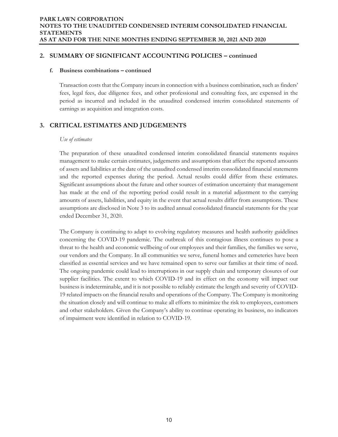## **2. SUMMARY OF SIGNIFICANT ACCOUNTING POLICIES – continued**

#### **f. Business combinations – continued**

Transaction costs that the Company incurs in connection with a business combination, such as finders' fees, legal fees, due diligence fees, and other professional and consulting fees, are expensed in the period as incurred and included in the unaudited condensed interim consolidated statements of earnings as acquisition and integration costs.

# **3. CRITICAL ESTIMATES AND JUDGEMENTS**

#### *Use of estimates*

The preparation of these unaudited condensed interim consolidated financial statements requires management to make certain estimates, judgements and assumptions that affect the reported amounts of assets and liabilities at the date of the unaudited condensed interim consolidated financial statements and the reported expenses during the period. Actual results could differ from these estimates. Significant assumptions about the future and other sources of estimation uncertainty that management has made at the end of the reporting period could result in a material adjustment to the carrying amounts of assets, liabilities, and equity in the event that actual results differ from assumptions. These assumptions are disclosed in Note 3 to its audited annual consolidated financial statements for the year ended December 31, 2020.

The Company is continuing to adapt to evolving regulatory measures and health authority guidelines concerning the COVID-19 pandemic. The outbreak of this contagious illness continues to pose a threat to the health and economic wellbeing of our employees and their families, the families we serve, our vendors and the Company. In all communities we serve, funeral homes and cemeteries have been classified as essential services and we have remained open to serve our families at their time of need. The ongoing pandemic could lead to interruptions in our supply chain and temporary closures of our supplier facilities. The extent to which COVID-19 and its effect on the economy will impact our business is indeterminable, and it is not possible to reliably estimate the length and severity of COVID-19 related impacts on the financial results and operations of the Company. The Company is monitoring the situation closely and will continue to make all efforts to minimize the risk to employees, customers and other stakeholders. Given the Company's ability to continue operating its business, no indicators of impairment were identified in relation to COVID-19.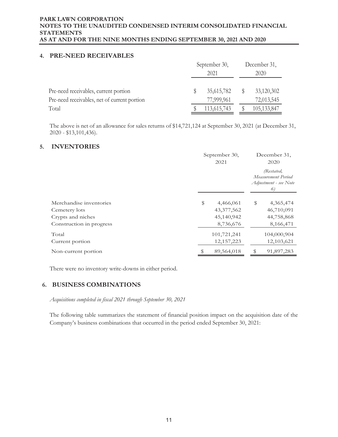## **4. PRE-NEED RECEIVABLES**

|                                              | September 30,<br>2021 |             |  | December 31,  |
|----------------------------------------------|-----------------------|-------------|--|---------------|
|                                              |                       |             |  | 2020          |
| Pre-need receivables, current portion        |                       | 35,615,782  |  | 33,120,302    |
| Pre-need receivables, net of current portion |                       | 77,999,961  |  | 72,013,545    |
| Total                                        |                       | 113,615,743 |  | 105, 133, 847 |

The above is net of an allowance for sales returns of \$14,721,124 at September 30, 2021 (at December 31, 2020 - \$13,101,436).

## **5. INVENTORIES**

|                          | September 30,<br>2021 | December 31,<br>2020                                            |
|--------------------------|-----------------------|-----------------------------------------------------------------|
|                          |                       | (Restated,<br>Measurement Period<br>Adjustment - see Note<br>6) |
| Merchandise inventories  | \$<br>4,466,061       | \$<br>4,365,474                                                 |
| Cemetery lots            | 43,377,562            | 46,710,091                                                      |
| Crypts and niches        | 45,140,942            | 44,758,868                                                      |
| Construction in progress | 8,736,676             | 8,166,471                                                       |
| Total                    | 101,721,241           | 104,000,904                                                     |
| Current portion          | 12, 157, 223          | 12,103,621                                                      |
| Non-current portion      | 89,564,018            | 91,897,283                                                      |

There were no inventory write-downs in either period.

## **6. BUSINESS COMBINATIONS**

*Acquisitions completed in fiscal 2021 through September 30, 2021* 

The following table summarizes the statement of financial position impact on the acquisition date of the Company's business combinations that occurred in the period ended September 30, 2021: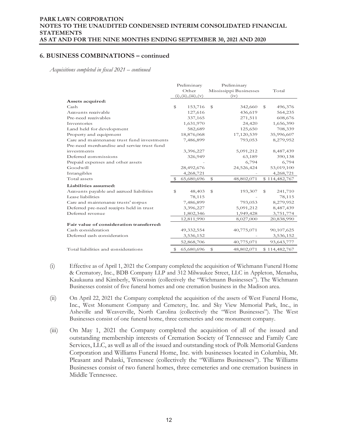*Acquisitions completed in fiscal 2021 – continued* 

|                                             | Preliminary   |                       | Preliminary |                        |              |               |
|---------------------------------------------|---------------|-----------------------|-------------|------------------------|--------------|---------------|
|                                             |               | Other                 |             | Mississippi Businesses |              | Total         |
|                                             |               | (i), (ii), (iii), (v) |             | (iv)                   |              |               |
| Assets acquired:                            |               |                       |             |                        |              |               |
| Cash                                        | ${\mathbb S}$ | 153,716               | \$          | 342,660                | \$           | 496,376       |
| Accounts receivable                         |               | 127,616               |             | 436,619                |              | 564,235       |
| Pre-need receivables                        |               | 337,165               |             | 271,511                |              | 608,676       |
| Inventories                                 |               | 1,631,970             |             | 24,420                 |              | 1,656,390     |
| Land held for development                   |               | 582,689               |             | 125,650                |              | 708,339       |
| Property and equipment                      |               | 18,876,068            |             | 17,120,539             |              | 35,996,607    |
| Care and maintenance trust fund investments |               | 7,486,899             |             | 793,053                |              | 8,279,952     |
| Pre-need merchandise and service trust fund |               |                       |             |                        |              |               |
| investments                                 |               | 3,396,227             |             | 5,091,212              |              | 8,487,439     |
| Deferred commissions                        |               | 326,949               |             | 63,189                 |              | 390,138       |
| Prepaid expenses and other assets           |               |                       |             | 6,794                  |              | 6,794         |
| Goodwill                                    |               | 28,492,676            |             | 24,526,424             |              | 53,019,100    |
| Intangibles                                 |               | 4,268,721             |             |                        |              | 4,268,721     |
| Total assets                                |               | 65,680,696            | \$          | 48,802,071             |              | \$114,482,767 |
| Liabilities assumed:                        |               |                       |             |                        |              |               |
| Accounts payable and accrued liabilities    | \$            | 48,403                | \$          | 193,307                | $\mathbb{S}$ | 241,710       |
| Lease liabilities                           |               | 78,115                |             |                        |              | 78,115        |
| Care and maintenance trusts' corpus         |               | 7,486,899             |             | 793,053                |              | 8,279,952     |
| Deferred pre-need receipts held in trust    |               | 3,396,227             |             | 5,091,212              |              | 8,487,439     |
| Deferred revenue                            |               | 1,802,346             |             | 1,949,428              |              | 3,751,774     |
|                                             |               | 12,811,990            |             | 8,027,000              |              | 20,838,990    |
| Fair value of consideration transferred:    |               |                       |             |                        |              |               |
| Cash consideration                          |               | 49,332,554            |             | 40,775,071             |              | 90,107,625    |
| Deferred cash consideration                 |               | 3,536,152             |             |                        |              | 3,536,152     |
|                                             |               | 52,868,706            |             | 40,775,071             |              | 93,643,777    |
| Total liabilities and considerations        | S             | 65,680,696            | \$          | 48,802,071             |              | \$114,482,767 |

- (i) Effective as of April 1, 2021 the Company completed the acquisition of Wichmann Funeral Home & Crematory, Inc., BDB Company LLP and 312 Milwaukee Street, LLC in Appleton, Menasha, Kaukauna and Kimberly, Wisconsin (collectively the "Wichmann Businesses"). The Wichmann Businesses consist of five funeral homes and one cremation business in the Madison area.
- (ii) On April 22, 2021 the Company completed the acquisition of the assets of West Funeral Home, Inc., West Monument Company and Cemetery, Inc. and Sky View Memorial Park, Inc., in Asheville and Weaverville, North Carolina (collectively the "West Businesses"). The West Businesses consist of one funeral home, three cemeteries and one monument company.
- (iii) On May 1, 2021 the Company completed the acquisition of all of the issued and outstanding membership interests of Cremation Society of Tennessee and Family Care Services, LLC, as well as all of the issued and outstanding stock of Polk Memorial Gardens Corporation and Williams Funeral Home, Inc. with businesses located in Columbia, Mt. Pleasant and Pulaski, Tennessee (collectively the "Williams Businesses"). The Williams Businesses consist of two funeral homes, three cemeteries and one cremation business in Middle Tennessee.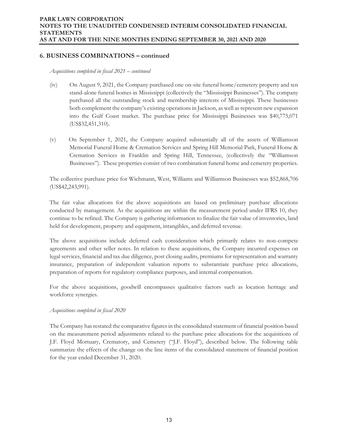*Acquisitions completed in fiscal 2021 – continued* 

- (iv) On August 9, 2021, the Company purchased one on-site funeral home/cemetery property and ten stand-alone funeral homes in Mississippi (collectively the "Mississippi Businesses"). The company purchased all the outstanding stock and membership interests of Mississippi. These businesses both complement the company's existing operations in Jackson, as well as represent new expansion into the Gulf Coast market. The purchase price for Mississippi Businesses was \$40,775,071 (US\$32,451,310).
- (v) On September 1, 2021, the Company acquired substantially all of the assets of Williamson Memorial Funeral Home & Cremation Services and Spring Hill Memorial Park, Funeral Home & Cremation Services in Franklin and Spring Hill, Tennessee, (collectively the "Williamson Businesses"). These properties consist of two combination funeral home and cemetery properties.

The collective purchase price for Wichmann, West, Williams and Williamson Businesses was \$52,868,706 (US\$42,243,991).

The fair value allocations for the above acquisitions are based on preliminary purchase allocations conducted by management. As the acquisitions are within the measurement period under IFRS 10, they continue to be refined. The Company is gathering information to finalize the fair value of inventories, land held for development, property and equipment, intangibles, and deferred revenue.

The above acquisitions include deferred cash consideration which primarily relates to non-compete agreements and other seller notes. In relation to these acquisitions, the Company incurred expenses on legal services, financial and tax due diligence, post closing audits, premiums for representation and warranty insurance, preparation of independent valuation reports to substantiate purchase price allocations, preparation of reports for regulatory compliance purposes, and internal compensation.

For the above acquisitions, goodwill encompasses qualitative factors such as location heritage and workforce synergies.

#### *Acquisitions completed in fiscal 2020*

The Company has restated the comparative figures in the consolidated statement of financial position based on the measurement period adjustments related to the purchase price allocations for the acquisitions of J.F. Floyd Mortuary, Crematory, and Cemetery ("J.F. Floyd"), described below. The following table summarize the effects of the change on the line items of the consolidated statement of financial position for the year ended December 31, 2020.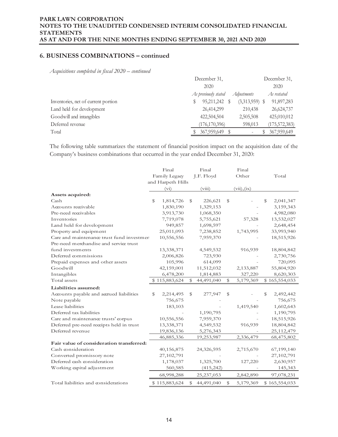*Acquisitions completed in fiscal 2020 – continued* 

|                                     | December 31,                        |                 |  |  |  |  |
|-------------------------------------|-------------------------------------|-----------------|--|--|--|--|
|                                     | 2020                                |                 |  |  |  |  |
|                                     | As previously stated<br>Adjustments | As restated     |  |  |  |  |
| Inventories, net of current portion | 95,211,242<br>$(3,313,959)$ \$      | 91,897,283      |  |  |  |  |
| Land held for development           | 26,414,299<br>210,438               | 26,624,737      |  |  |  |  |
| Goodwill and intangibles            | 422,504,504<br>2,505,508            | 425,010,012     |  |  |  |  |
| Deferred revenue                    | (176, 170, 396)<br>598,013          | (175, 572, 383) |  |  |  |  |
| Total                               | 367,959,649                         | 367,959,649     |  |  |  |  |

The following table summarizes the statement of financial position impact on the acquisition date of the Company's business combinations that occurred in the year ended December 31, 2020:

|                                           | Final             |               | Final        |             | Final       |                 |
|-------------------------------------------|-------------------|---------------|--------------|-------------|-------------|-----------------|
|                                           | Family Legacy     |               | J.F. Floyd   |             | Other       | Total           |
|                                           | and Harpeth Hills |               |              |             |             |                 |
|                                           | $(v_i)$           |               | (viii)       |             | (vii), (ix) |                 |
| Assets acquired:                          |                   |               |              |             |             |                 |
| Cash                                      | \$<br>1,814,726   | \$            | 226,621      | \$          |             | \$<br>2,041,347 |
| Accounts receivable                       | 1,830,190         |               | 1,329,153    |             |             | 3,159,343       |
| Pre-need receivables                      | 3,913,730         |               | 1,068,350    |             |             | 4,982,080       |
| Inventories                               | 7,719,078         |               | 5,755,621    |             | 57,328      | 13,532,027      |
| Land held for development                 | 949,857           |               | 1,698,597    |             |             | 2,648,454       |
| Property and equipment                    | 25,011,093        |               | 7,238,852    |             | 1,743,995   | 33,993,940      |
| Care and maintenance trust fund investmen | 10,556,556        |               | 7,959,370    |             |             | 18,515,926      |
| Pre-need merchandise and service trust    |                   |               |              |             |             |                 |
| fund investments                          | 13,338,371        |               | 4,549,532    |             | 916,939     | 18,804,842      |
| Deferred commissions                      | 2,006,826         |               | 723,930      |             |             | 2,730,756       |
| Prepaid expenses and other assets         | 105,996           |               | 614,099      |             |             | 720,095         |
| Goodwill                                  | 42,159,001        |               | 11,512,032   |             | 2,133,887   | 55,804,920      |
| Intangibles                               | 6,478,200         |               | 1,814,883    |             | 327,220     | 8,620,303       |
|                                           |                   |               |              |             |             |                 |
| Total assets                              | \$115,883,624     | ${\mathbb S}$ | 44,491,040   | $\mathbb S$ | 5,179,369   | \$165,554,033   |
| Liabilities assumed:                      |                   |               |              |             |             |                 |
| Accounts payable and accrued liabilities  | \$<br>2,214,495   | \$            | 277,947      | \$          |             | \$<br>2,492,442 |
| Note payable                              | 756,675           |               |              |             |             | 756,675         |
| Lease liabilities                         | 183,103           |               |              |             | 1,419,540   | 1,602,643       |
| Deferred tax liabilities                  |                   |               | 1,190,795    |             |             | 1,190,795       |
| Care and maintenance trusts' corpus       | 10,556,556        |               | 7,959,370    |             |             | 18,515,926      |
| Deferred pre-need receipts held in trust  | 13,338,371        |               | 4,549,532    |             | 916,939     | 18,804,842      |
| Deferred revenue                          | 19,836,136        |               | 5,276,343    |             |             | 25,112,479      |
|                                           | 46,885,336        |               | 19,253,987   |             | 2,336,479   | 68,475,802      |
| Fair value of consideration transferred:  |                   |               |              |             |             |                 |
| Cash consideration                        | 40,156,875        |               | 24,326,595   |             | 2,715,670   | 67,199,140      |
| Converted promissory note                 | 27,102,791        |               |              |             |             | 27,102,791      |
| Deferred cash consideration               | 1,178,037         |               | 1,325,700    |             | 127,220     | 2,630,957       |
| Working capital adjustment                | 560,585           |               | (415, 242)   |             |             | 145,343         |
|                                           | 68,998,288        |               | 25, 237, 053 |             | 2,842,890   | 97,078,231      |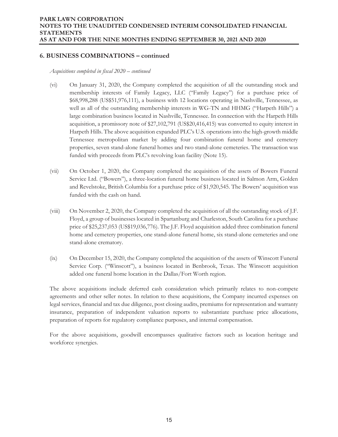*Acquisitions completed in fiscal 2020 – continued* 

- (vi) On January 31, 2020, the Company completed the acquisition of all the outstanding stock and membership interests of Family Legacy, LLC ("Family Legacy") for a purchase price of \$68,998,288 (US\$51,976,111), a business with 12 locations operating in Nashville, Tennessee, as well as all of the outstanding membership interests in WG-TN and HHMG ("Harpeth Hills") a large combination business located in Nashville, Tennessee. In connection with the Harpeth Hills acquisition, a promissory note of \$27,102,791 (US\$20,416,415) was converted to equity interest in Harpeth Hills. The above acquisition expanded PLC's U.S. operations into the high-growth middle Tennessee metropolitan market by adding four combination funeral home and cemetery properties, seven stand-alone funeral homes and two stand-alone cemeteries. The transaction was funded with proceeds from PLC's revolving loan facility (Note 15).
- (vii) On October 1, 2020, the Company completed the acquisition of the assets of Bowers Funeral Service Ltd. ("Bowers"), a three-location funeral home business located in Salmon Arm, Golden and Revelstoke, British Columbia for a purchase price of \$1,920,545. The Bowers' acquisition was funded with the cash on hand.
- (viii) On November 2, 2020, the Company completed the acquisition of all the outstanding stock of J.F. Floyd, a group of businesses located in Spartanburg and Charleston, South Carolina for a purchase price of \$25,237,053 (US\$19,036,776). The J.F. Floyd acquisition added three combination funeral home and cemetery properties, one stand-alone funeral home, six stand-alone cemeteries and one stand-alone crematory.
- (ix) On December 15, 2020, the Company completed the acquisition of the assets of Winscott Funeral Service Corp. ("Winscott"), a business located in Benbrook, Texas. The Winscott acquisition added one funeral home location in the Dallas/Fort Worth region.

The above acquisitions include deferred cash consideration which primarily relates to non-compete agreements and other seller notes. In relation to these acquisitions, the Company incurred expenses on legal services, financial and tax due diligence, post closing audits, premiums for representation and warranty insurance, preparation of independent valuation reports to substantiate purchase price allocations, preparation of reports for regulatory compliance purposes, and internal compensation.

For the above acquisitions, goodwill encompasses qualitative factors such as location heritage and workforce synergies.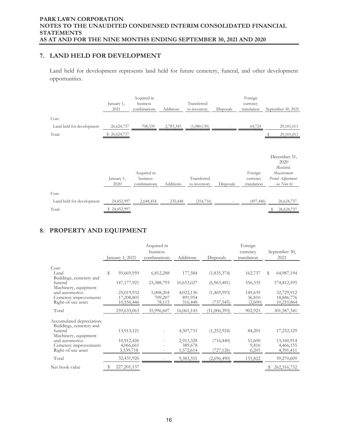# **7. LAND HELD FOR DEVELOPMENT**

Land held for development represents land held for future cemetery, funeral, and other development opportunities.

|                           | January 1,<br>2021 | Acquired in<br>business<br>combinations | Additions | Transferred<br>to inventory | Disposals | Foreign<br>currency<br>translation | September 30, 2021                                                                        |
|---------------------------|--------------------|-----------------------------------------|-----------|-----------------------------|-----------|------------------------------------|-------------------------------------------------------------------------------------------|
| Cost:                     |                    |                                         |           |                             |           |                                    |                                                                                           |
| Land held for development | 26,624,737         | 708,339                                 | 2,783,343 | (1,080,130)                 |           | 64,724                             | 29,101,013                                                                                |
| Total                     | \$26,624,737       |                                         |           |                             |           |                                    | 29,101,013                                                                                |
|                           | January 1,<br>2020 | Acquired in<br>business<br>combinations | Additions | Transferred<br>to inventory | Disposals | Foreign<br>currency<br>translation | December 31,<br>2020<br>(Restated,<br>Measurement<br>Period Adjustment<br>$-$ see Note 6) |
| Cost:                     |                    |                                         |           |                             |           |                                    |                                                                                           |
| Land held for development | 24,452,997         | 2,648,454                               | 235,448   | (214, 716)                  |           | (497, 446)                         | 26,624,737                                                                                |
| Total                     | \$24,452,997       |                                         |           |                             |           |                                    | 26,624,737                                                                                |

# **8. PROPERTY AND EQUIPMENT**

|                                                                 |                          | Acquired in<br>business |                      |              | Foreign<br>currency |    | September 30,            |
|-----------------------------------------------------------------|--------------------------|-------------------------|----------------------|--------------|---------------------|----|--------------------------|
|                                                                 | January 1, 2021          | combinations            | Additions            | Disposals    | translation         |    | 2021                     |
| Cost:                                                           |                          |                         |                      |              |                     |    |                          |
| Land<br>Buildings, cemetery and                                 | \$<br>59,669,959         | 6,812,288               | 177,584              | (1,835,374)  | 162,737             | \$ | 64,987,194               |
| funeral                                                         | 147, 177, 921            | 23,388,793              | 10,653,027           | (6,963,481)  | 556,335             |    | 174,812,595              |
| Machinery, equipment<br>and automotive                          | 25,019,932               | 5,008,204               | 4,022,130            | (1,469,993)  | 149,639             |    | 32,729,912               |
| Cemetery improvements<br>Right-of-use asset                     | 17,208,805<br>10,556,446 | 709,207<br>78,115       | 891,954<br>316,448   | (737, 545)   | 36,810<br>(2,600)   |    | 18,846,776<br>10,210,864 |
| Total                                                           | 259,633,063              | 35,996,607              | 16,061,143           | (11,006,393) | 902,921             |    | 301,587,341              |
| Accumulated depreciation:                                       |                          |                         |                      |              |                     |    |                          |
| Buildings, cemetery and<br>funeral                              | 13,913,121               |                         | 4,507,731            | (1,252,924)  | 84,201              |    | 17,252,129               |
| Machinery, equipment<br>and automotive<br>Cemetery improvements | 10,912,426<br>4,066,661  |                         | 2,913,328<br>389,678 | (716, 440)   | 51,600<br>9,816     |    | 13,160,914<br>4,466,155  |
| Right-of-use asset                                              | 3,539,718                |                         | 1,572,614            | (727, 126)   | 6,205               |    | 4,391,411                |
| Total                                                           | 32,431,926               |                         | 9,383,351            | (2,696,490)  | 151,822             |    | 39,270,609               |
| Net book value                                                  | \$<br>227, 201, 137      |                         |                      |              |                     | S  | 262,316,732              |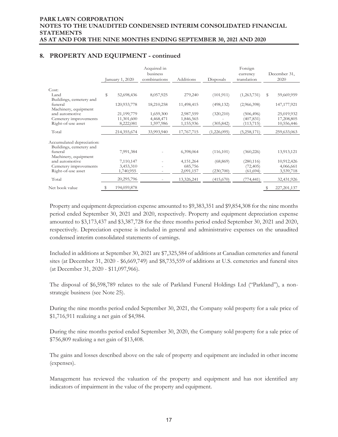# **8. PROPERTY AND EQUIPMENT - continued**

|                           | anuary 1, 2020    | Acquired in<br>business<br>combinations | Additions   | Disposals   | Foreign<br>currency<br>translation | December 31,<br>2020 |
|---------------------------|-------------------|-----------------------------------------|-------------|-------------|------------------------------------|----------------------|
|                           |                   |                                         |             |             |                                    |                      |
| Cost:                     |                   |                                         |             |             |                                    |                      |
| Land                      | \$<br>52,698,436  | 8,057,925                               | 279,240     | (101, 911)  | (1,263,731)                        | \$<br>59,669,959     |
| Buildings, cemetery and   |                   |                                         |             |             |                                    |                      |
| funeral                   | 120,933,778       | 18,210,258                              | 11,498,415  | (498, 132)  | (2,966,398)                        | 147, 177, 921        |
| Machinery, equipment      |                   |                                         |             |             |                                    |                      |
| and automotive            | 21,199,779        | 1,659,300                               | 2,987,559   | (320, 210)  | (506, 496)                         | 25,019,932           |
| Cemetery improvements     | 11,301,600        | 4,468,471                               | 1,846,565   |             | (407, 831)                         | 17,208,805           |
| Right-of-use asset        | 8,222,081         | 1,597,986                               | 1,155,936   | (305, 842)  | (113, 715)                         | 10,556,446           |
| Total                     | 214,355,674       | 33,993,940                              | 17,767,715  | (1,226,095) | (5,258,171)                        | 259,633,063          |
|                           |                   |                                         |             |             |                                    |                      |
| Accumulated depreciation: |                   |                                         |             |             |                                    |                      |
| Buildings, cemetery and   |                   |                                         |             |             |                                    |                      |
| funeral                   | 7,991,384         |                                         | 6,398,064   | (116, 101)  | (360, 226)                         | 13,913,121           |
| Machinery, equipment      |                   |                                         |             |             |                                    |                      |
| and automotive            | 7,110,147         |                                         | 4, 151, 264 | (68, 869)   | (280, 116)                         | 10,912,426           |
| Cemetery improvements     | 3,453,310         |                                         | 685,756     |             | (72, 405)                          | 4,066,661            |
| Right-of-use asset        | 1,740,955         | Ξ.                                      | 2,091,157   | (230,700)   | (61, 694)                          | 3,539,718            |
| Total                     | 20,295,796        | -                                       | 13,326,241  | (415,670)   | (774,441)                          | 32,431,926           |
| Net book value            | \$<br>194,059,878 |                                         |             |             |                                    | \$<br>227, 201, 137  |

Property and equipment depreciation expense amounted to \$9,383,351 and \$9,854,308 for the nine months period ended September 30, 2021 and 2020, respectively. Property and equipment depreciation expense amounted to \$3,173,437 and \$3,387,728 for the three months period ended September 30, 2021 and 2020, respectively. Depreciation expense is included in general and administrative expenses on the unaudited condensed interim consolidated statements of earnings.

Included in additions at September 30, 2021 are \$7,325,584 of additions at Canadian cemeteries and funeral sites (at December 31, 2020 - \$6,669,749) and \$8,735,559 of additions at U.S. cemeteries and funeral sites (at December 31, 2020 - \$11,097,966).

The disposal of \$6,598,789 relates to the sale of Parkland Funeral Holdings Ltd ("Parkland"), a nonstrategic business (see Note 25).

During the nine months period ended September 30, 2021, the Company sold property for a sale price of \$1,716,911 realizing a net gain of \$4,984.

During the nine months period ended September 30, 2020, the Company sold property for a sale price of \$756,809 realizing a net gain of \$13,408.

The gains and losses described above on the sale of property and equipment are included in other income (expenses).

Management has reviewed the valuation of the property and equipment and has not identified any indicators of impairment in the value of the property and equipment.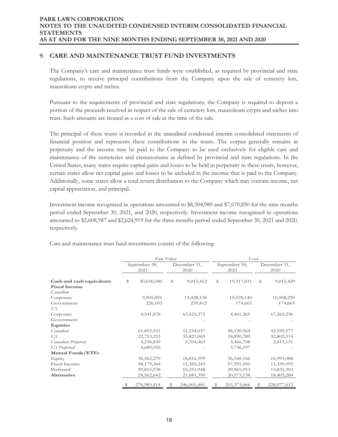# **9. CARE AND MAINTENANCE TRUST FUND INVESTMENTS**

The Company's care and maintenance trust funds were established, as required by provincial and state regulations, to receive principal contributions from the Company upon the sale of cemetery lots, mausoleum crypts and niches.

Pursuant to the requirements of provincial and state regulations, the Company is required to deposit a portion of the proceeds received in respect of the sale of cemetery lots, mausoleum crypts and niches into trust. Such amounts are treated as a cost of sale at the time of the sale.

The principal of these trusts is recorded in the unaudited condensed interim consolidated statements of financial position and represents these contributions to the trusts. The corpus generally remains in perpetuity and the income may be paid to the Company to be used exclusively for eligible care and maintenance of the cemeteries and crematoriums as defined by provincial and state regulations. In the United States, many states require capital gains and losses to be held in perpetuity in these trusts, however, certain states allow net capital gains and losses to be included in the income that is paid to the Company. Additionally, some states allow a total return distribution to the Company which may contain income, net capital appreciation, and principal.

Investment income recognized in operations amounted to \$8,304,989 and \$7,670,850 for the nine months period ended September 30, 2021, and 2020, respectively. Investment income recognized in operations amounted to \$2,608,987 and \$2,624,919 for the three months period ended September 30, 2021 and 2020, respectively.

|                           | Fair Value |                       |    | Cost                 |    |                       |    |                      |
|---------------------------|------------|-----------------------|----|----------------------|----|-----------------------|----|----------------------|
|                           |            | September 30,<br>2021 |    | December 31,<br>2020 |    | September 30,<br>2021 |    | December 31,<br>2020 |
| Cash and cash equivalents | \$         | 20,656,040            | \$ | 9,015,412            | \$ | 19,317,031            | \$ | 9,015,429            |
| <b>Fixed Income</b>       |            |                       |    |                      |    |                       |    |                      |
| Canadian                  |            |                       |    |                      |    |                       |    |                      |
| Corporate                 |            | 9,905,891             |    | 13,428,138           |    | 10,528,140            |    | 10,508,290           |
| Government                |            | 226,103               |    | 239,812              |    | 174,665               |    | 174,665              |
| US                        |            |                       |    |                      |    |                       |    |                      |
| Corporate                 |            | 4,541,878             |    | 65,423,372           |    | 4,461,265             |    | 67,263,236           |
| Government                |            |                       |    |                      |    |                       |    |                      |
| <b>Equities</b>           |            |                       |    |                      |    |                       |    |                      |
| Canadian                  |            | 61,852,531            |    | 51,234,037           |    | 48,120,564            |    | 42,929,577           |
| US                        |            | 22,753,253            |    | 35,821,065           |    | 18,890,789            |    | 32,802,514           |
| Canadian Preferred        |            | 4,238,839             |    | 2,704,463            |    | 3,466,708             |    | 2,813,131            |
| <b>US</b> Preferred       |            | 3,689,056             |    |                      |    | 3,736,197             |    |                      |
| <b>Mutual Funds/ETFs</b>  |            |                       |    |                      |    |                       |    |                      |
| Equity                    |            | 36,562,279            |    | 18,816,599           |    | 36,548,166            |    | 16,993,088           |
| Fixed Income              |            | 58,179,364            |    | 11,385,245           |    | 57,591,050            |    | 11,339,095           |
| Preferred                 |            | 29,815,538            |    | 16,251,948           |    | 29,965,953            |    | 15,835,303           |
| <b>Alternative</b>        |            | 24,562,642            |    | 21,681,390           |    | 20,573,138            |    | 18,403,284           |
|                           |            | 276,983,414           | S  | 246,001,481          |    | 253,373,666           |    | 228,077,612          |

Care and maintenance trust fund investments consist of the following: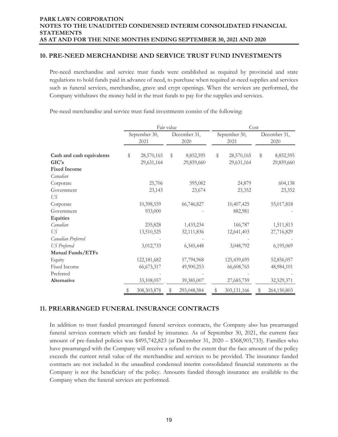## **10. PRE-NEED MERCHANDISE AND SERVICE TRUST FUND INVESTMENTS**

Pre-need merchandise and service trust funds were established as required by provincial and state regulations to hold funds paid in advance of need, to purchase when required at-need supplies and services such as funeral services, merchandise, grave and crypt openings. When the services are performed, the Company withdraws the money held in the trust funds to pay for the supplies and services.

Pre-need merchandise and service trust fund investments consist of the following:

|                           | Fair value    |              |    |              | Cost |               |    |              |  |
|---------------------------|---------------|--------------|----|--------------|------|---------------|----|--------------|--|
|                           | September 30, |              |    | December 31, |      | September 30, |    | December 31, |  |
|                           |               | 2021         |    | 2020         |      | 2021          |    | 2020         |  |
| Cash and cash equivalents | \$            | 28,570,165   | \$ | 8,852,595    | \$   | 28,570,165    | \$ | 8,852,595    |  |
| GIC's                     |               | 29,631,164   |    | 29,859,660   |      | 29,631,164    |    | 29,859,660   |  |
| <b>Fixed Income</b>       |               |              |    |              |      |               |    |              |  |
| Canadian                  |               |              |    |              |      |               |    |              |  |
| Corporate                 |               | 25,706       |    | 595,082      |      | 24,879        |    | 604,138      |  |
| Government                |               | 23,143       |    | 23,674       |      | 23,352        |    | 23,352       |  |
| US                        |               |              |    |              |      |               |    |              |  |
| Corporate                 |               | 10,398,559   |    | 66,746,827   |      | 10,407,425    |    | 55,017,818   |  |
| Government                |               | 933,000      |    |              |      | 882,981       |    |              |  |
| <b>Equities</b>           |               |              |    |              |      |               |    |              |  |
| Canadian                  |               | 235,828      |    | 1,433,234    |      | 166,787       |    | 1,511,813    |  |
| US                        |               | 13,510,525   |    | 32,111,836   |      | 12,641,403    |    | 27,716,829   |  |
| Canadian Preferred        |               |              |    |              |      |               |    |              |  |
| <b>US</b> Preferred       |               | 3,012,733    |    | 6,345,448    |      | 3,048,792     |    | 6,195,069    |  |
| Mutual Funds/ETFs         |               |              |    |              |      |               |    |              |  |
| Equity                    |               | 122,181,682  |    | 57,794,968   |      | 125,439,695   |    | 52,856,057   |  |
| Fixed Income              |               | 66, 673, 317 |    | 49,900,253   |      | 66,608,765    |    | 48,984,101   |  |
| Preferred                 |               |              |    |              |      |               |    |              |  |
| Alternative               |               | 33,108,057   |    | 39,385,007   |      | 27,685,759    |    | 32,529,371   |  |
|                           |               | 308,303,878  |    | 293,048,584  |      | 305,131,166   |    | 264,150,803  |  |

# **11. PREARRANGED FUNERAL INSURANCE CONTRACTS**

In addition to trust funded prearranged funeral services contracts, the Company also has prearranged funeral services contracts which are funded by insurance. As of September 30, 2021, the current face amount of pre-funded policies was \$495,742,823 (at December 31, 2020 – \$368,903,733). Families who have prearranged with the Company will receive a refund to the extent that the face amount of the policy exceeds the current retail value of the merchandise and services to be provided. The insurance funded contracts are not included in the unaudited condensed interim consolidated financial statements as the Company is not the beneficiary of the policy. Amounts funded through insurance are available to the Company when the funeral services are performed.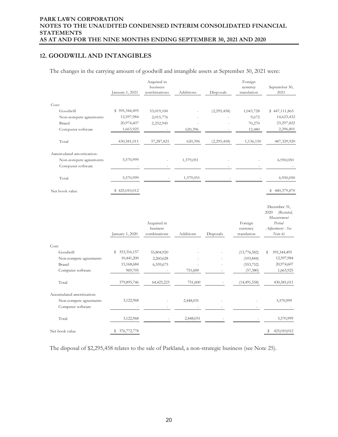# **12. GOODWILL AND INTANGIBLES**

The changes in the carrying amount of goodwill and intangible assets at September 30, 2021 were:

|                                             |                   | Acquired in                             |           |               | Foreign                            |                                                                                            |
|---------------------------------------------|-------------------|-----------------------------------------|-----------|---------------|------------------------------------|--------------------------------------------------------------------------------------------|
|                                             |                   | business                                |           |               | currency                           | September 30,                                                                              |
|                                             | January 1, 2021   | combinations                            | Additions | Disposals     | translation                        | 2021                                                                                       |
| Cost:                                       |                   |                                         |           |               |                                    |                                                                                            |
| Goodwill                                    | \$395,344,495     | 53,019,100                              |           | (2,295,458)   | 1,043,728                          | \$447,111,865                                                                              |
| Non-compete agreements                      | 12,597,984        | 2,015,776                               |           |               | 9,672                              | 14,623,432                                                                                 |
| Brand                                       | 20,974,607        | 2,252,945                               |           |               | 70,270                             | 23,297,822                                                                                 |
| Computer software                           | 1,663,925         |                                         | 620,396   |               | 12,480                             | 2,296,801                                                                                  |
| Total                                       | 430,581,011       | 57,287,821                              | 620,396   | (2, 295, 458) | 1,136,150                          | 487,329,920                                                                                |
| Accumulated amortization:                   |                   |                                         |           |               |                                    |                                                                                            |
| Non-compete agreements<br>Computer software | 5,570,999         |                                         | 1,379,051 |               |                                    | 6,950,050                                                                                  |
| Total                                       | 5,570,999         |                                         | 1,379,051 |               |                                    | 6,950,050                                                                                  |
| Net book value                              | \$425,010,012     |                                         |           |               |                                    | 480,379,870<br>\$                                                                          |
|                                             | January 1, 2020   | Acquired in<br>business<br>combinations | Additions | Disposals     | Foreign<br>currency<br>translation | December 31,<br>2020<br>(Restated,<br>Measurement<br>Period<br>Adjustment - See<br>Note 6) |
| Cost:                                       |                   |                                         |           |               |                                    |                                                                                            |
| Goodwill                                    | 353,316,157<br>\$ | 55,804,920                              |           |               | (13,776,582)                       | 395, 344, 495<br>S                                                                         |
| Non-compete agreements                      | 10,441,200        | 2,260,628                               |           |               | (103, 844)                         | 12,597,984                                                                                 |
| Brand                                       | 15,168,684        | 6,359,675                               |           |               | (553, 752)                         | 20,974,607                                                                                 |
| Computer software                           | 969,705           |                                         | 751,600   |               | (57, 380)                          | 1,663,925                                                                                  |
| Total                                       | 379,895,746       | 64,425,223                              | 751,600   |               | (14, 491, 558)                     | 430,581,011                                                                                |
| Accumulated amortization:                   |                   |                                         |           |               |                                    |                                                                                            |
| Non-compete agreements                      | 3,122,968         |                                         | 2,448,031 |               |                                    | 5,570,999                                                                                  |
| Computer software                           |                   |                                         |           |               |                                    |                                                                                            |
| Total                                       | 3,122,968         |                                         | 2,448,031 |               |                                    | 5,570,999                                                                                  |
| Net book value                              | 376,772,778<br>\$ |                                         |           |               |                                    | S<br>425,010,012                                                                           |

The disposal of \$2,295,458 relates to the sale of Parkland, a non-strategic business (see Note 25).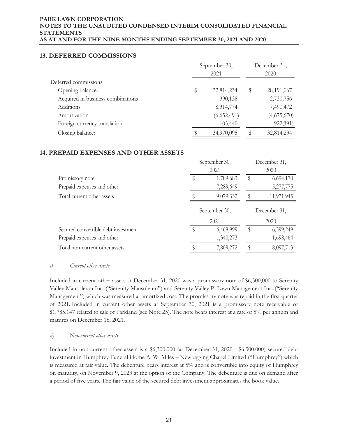# **13. DEFERRED COMMISSIONS**

|                                   | September 30, | December 31,<br>2020 |   |             |
|-----------------------------------|---------------|----------------------|---|-------------|
| Deferred commissions              |               |                      |   |             |
| Opening balance:                  | \$            | 32,814,234           | S | 28,191,067  |
| Acquired in business combinations |               | 390,138              |   | 2,730,756   |
| <b>Additions</b>                  |               | 8,314,774            |   | 7,490,472   |
| Amortization                      |               | (6,652,491)          |   | (4,675,670) |
| Foreign currency translation      |               | 103,440              |   | (922, 391)  |
| Closing balance:                  |               | 34,970,095           |   | 32,814,234  |

## **14. PREPAID EXPENSES AND OTHER ASSETS**

|                                     | September 30,<br>2021 | December 31,<br>2020 |              |  |
|-------------------------------------|-----------------------|----------------------|--------------|--|
| Promissory note                     | 1,789,683             | \$                   | 6,694,170    |  |
| Prepaid expenses and other          | 7,289,649             |                      | 5,277,775    |  |
| Total current other assets          | 9,079,332             |                      | 11,971,945   |  |
|                                     | September 30,         |                      | December 31, |  |
|                                     | 2021                  |                      | 2020         |  |
| Secured convertible debt investment | 6,468,999             | S                    | 6,399,249    |  |
| Prepaid expenses and other          | 1,340,273             |                      | 1,698,464    |  |
|                                     |                       |                      |              |  |

## *i) Current other assets*

Included in current other assets at December 31, 2020 was a promissory note of \$6,500,000 to Serenity Valley Mausoleum Inc. ("Serenity Mausoleum") and Serenity Valley P. Lawn Management Inc. ("Serenity Management") which was measured at amortized cost. The promissory note was repaid in the first quarter of 2021. Included in current other assets at September 30, 2021 is a promissory note receivable of \$1,785,147 related to sale of Parkland (see Note 25). The note bears interest at a rate of 5% per annum and matures on December 18, 2021.

## *ii) Non-current other assets*

Included in non-current other assets is a \$6,300,000 (at December 31, 2020 - \$6,300,000) secured debt investment in Humphrey Funeral Home A. W. Miles – Newbigging Chapel Limited ("Humphrey") which is measured at fair value. The debenture bears interest at 5% and is convertible into equity of Humphrey on maturity, on November 9, 2023 at the option of the Company. The debenture is due on demand after a period of five years. The fair value of the secured debt investment approximates the book value.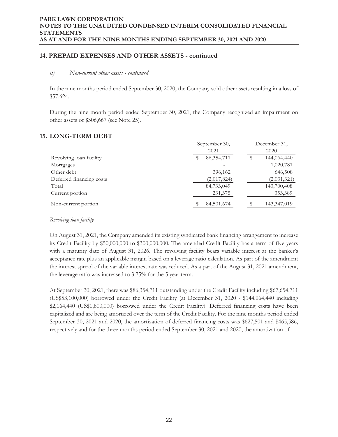## **14. PREPAID EXPENSES AND OTHER ASSETS - continued**

## *ii) Non-current other assets - continued*

In the nine months period ended September 30, 2020, the Company sold other assets resulting in a loss of \$57,624.

During the nine month period ended September 30, 2021, the Company recognized an impairment on other assets of \$306,667 (see Note 25).

## **15. LONG-TERM DEBT**

|                          | September 30, |              | December 31, |
|--------------------------|---------------|--------------|--------------|
|                          |               | 2021         | 2020         |
| Revolving loan facility  | S             | 86, 354, 711 | 144,064,440  |
| Mortgages                |               |              | 1,020,781    |
| Other debt               |               | 396,162      | 646,508      |
| Deferred financing costs |               | (2,017,824)  | (2,031,321)  |
| Total                    |               | 84,733,049   | 143,700,408  |
| Current portion          |               | 231,375      | 353,389      |
| Non-current portion      |               | 84,501,674   | 143,347,019  |

#### *Revolving loan facility*

On August 31, 2021, the Company amended its existing syndicated bank financing arrangement to increase its Credit Facility by \$50,000,000 to \$300,000,000. The amended Credit Facility has a term of five years with a maturity date of August 31, 2026. The revolving facility bears variable interest at the banker's acceptance rate plus an applicable margin based on a leverage ratio calculation. As part of the amendment the interest spread of the variable interest rate was reduced. As a part of the August 31, 2021 amendment, the leverage ratio was increased to 3.75% for the 5 year term.

At September 30, 2021, there was \$86,354,711 outstanding under the Credit Facility including \$67,654,711 (US\$53,100,000) borrowed under the Credit Facility (at December 31, 2020 - \$144,064,440 including \$2,164,440 (US\$1,800,000) borrowed under the Credit Facility). Deferred financing costs have been capitalized and are being amortized over the term of the Credit Facility. For the nine months period ended September 30, 2021 and 2020, the amortization of deferred financing costs was \$627,501 and \$465,586, respectively and for the three months period ended September 30, 2021 and 2020, the amortization of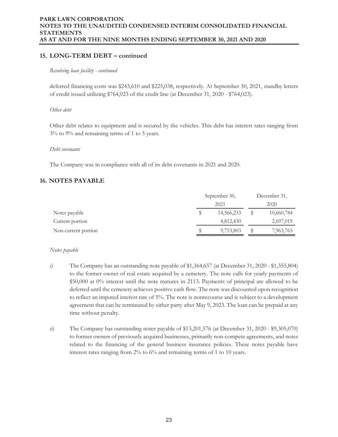## **15. LONG-TERM DEBT – continued**

#### *Revolving loan facility - continued*

deferred financing costs was \$243,610 and \$225,038, respectively. At September 30, 2021, standby letters of credit issued utilizing \$764,023 of the credit line (at December 31, 2020 - \$764,023).

#### *Other debt*

Other debt relates to equipment and is secured by the vehicles. This debt has interest rates ranging from 3% to 9% and remaining terms of 1 to 5 years.

#### *Debt covenants*

The Company was in compliance with all of its debt covenants in 2021 and 2020.

## **16. NOTES PAYABLE**

|                     | September 30, |  | December 31, |
|---------------------|---------------|--|--------------|
|                     | 2021          |  | 2020         |
| Notes payable       | 14,566,233    |  | 10,660,784   |
| Current portion     | 4,812,430     |  | 2,697,019    |
| Non-current portion | 9,753,803     |  | 7,963,765    |

## *Notes payable*

- *i*) The Company has an outstanding note payable of \$1,364,657 (at December 31, 2020 \$1,355,804) to the former owner of real estate acquired by a cemetery. The note calls for yearly payments of \$50,000 at 0% interest until the note matures in 2113. Payments of principal are allowed to be deferred until the cemetery achieves positive cash flow. The note was discounted upon recognition to reflect an imputed interest rate of 5%. The note is nonrecourse and is subject to a development agreement that can be terminated by either party after May 9, 2023. The loan can be prepaid at any time without penalty.
- *ii*) The Company has outstanding notes payable of \$13,201,576 (at December 31, 2020 \$9,305,070) to former owners of previously acquired businesses, primarily non-compete agreements, and notes related to the financing of the general business insurance policies. These notes payable have interest rates ranging from 2% to 6% and remaining terms of 1 to 10 years.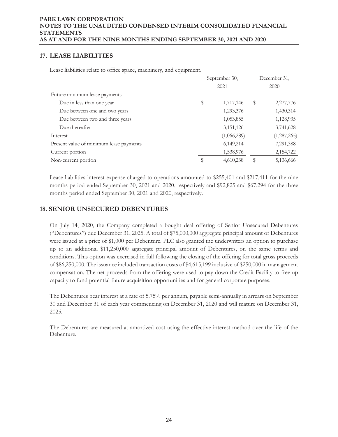# **17. LEASE LIABILITIES**

Lease liabilities relate to office space, machinery, and equipment.

|                                         | September 30,<br>2021 |             | December 31, |               |
|-----------------------------------------|-----------------------|-------------|--------------|---------------|
|                                         |                       |             |              | 2020          |
| Future minimum lease payments           |                       |             |              |               |
| Due in less than one year               | \$                    | 1,717,146   | S            | 2,277,776     |
| Due between one and two years           |                       | 1,293,376   |              | 1,430,314     |
| Due between two and three years         |                       | 1,053,855   |              | 1,128,935     |
| Due thereafter                          |                       | 3, 151, 126 |              | 3,741,628     |
| Interest                                |                       | (1,066,289) |              | (1, 287, 265) |
| Present value of minimum lease payments |                       | 6,149,214   |              | 7,291,388     |
| Current portion                         |                       | 1,538,976   |              | 2,154,722     |
| Non-current portion                     |                       | 4,610,238   |              | 5,136,666     |

Lease liabilities interest expense charged to operations amounted to \$255,401 and \$217,411 for the nine months period ended September 30, 2021 and 2020, respectively and \$92,825 and \$67,294 for the three months period ended September 30, 2021 and 2020, respectively.

# **18. SENIOR UNSECURED DEBENTURES**

On July 14, 2020, the Company completed a bought deal offering of Senior Unsecured Debentures ("Debentures") due December 31, 2025. A total of \$75,000,000 aggregate principal amount of Debentures were issued at a price of \$1,000 per Debenture. PLC also granted the underwriters an option to purchase up to an additional \$11,250,000 aggregate principal amount of Debentures, on the same terms and conditions. This option was exercised in full following the closing of the offering for total gross proceeds of \$86,250,000. The issuance included transaction costs of \$4,615,199 inclusive of \$250,000 in management compensation. The net proceeds from the offering were used to pay down the Credit Facility to free up capacity to fund potential future acquisition opportunities and for general corporate purposes.

The Debentures bear interest at a rate of 5.75% per annum, payable semi-annually in arrears on September 30 and December 31 of each year commencing on December 31, 2020 and will mature on December 31, 2025.

The Debentures are measured at amortized cost using the effective interest method over the life of the Debenture.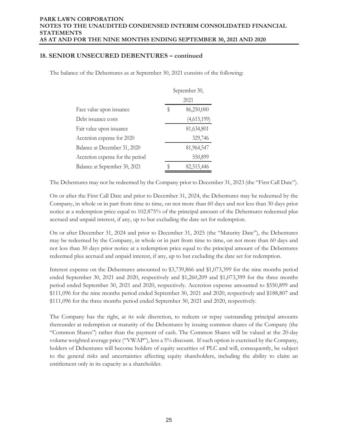## **18. SENIOR UNSECURED DEBENTURES – continued**

The balance of the Debentures as at September 30, 2021 consists of the following:

|                                  | September 30, |             |  |  |
|----------------------------------|---------------|-------------|--|--|
|                                  |               | 2021        |  |  |
| Face value upon issuance         | \$            | 86,250,000  |  |  |
| Debt issuance costs              |               | (4,615,199) |  |  |
| Fair value upon issuance         |               | 81,634,801  |  |  |
| Accretion expense for 2020       |               | 329,746     |  |  |
| Balance at December 31, 2020     |               | 81,964,547  |  |  |
| Accretion expense for the period |               | 550,899     |  |  |
| Balance at September 30, 2021    |               | 82,515,446  |  |  |

The Debentures may not be redeemed by the Company prior to December 31, 2023 (the "First Call Date").

On or after the First Call Date and prior to December 31, 2024, the Debentures may be redeemed by the Company, in whole or in part from time to time, on not more than 60 days and not less than 30 days prior notice at a redemption price equal to 102.875% of the principal amount of the Debentures redeemed plus accrued and unpaid interest, if any, up to but excluding the date set for redemption.

On or after December 31, 2024 and prior to December 31, 2025 (the "Maturity Date"), the Debentures may be redeemed by the Company, in whole or in part from time to time, on not more than 60 days and not less than 30 days prior notice at a redemption price equal to the principal amount of the Debentures redeemed plus accrued and unpaid interest, if any, up to but excluding the date set for redemption.

Interest expense on the Debentures amounted to \$3,739,866 and \$1,073,399 for the nine months period ended September 30, 2021 and 2020, respectively and \$1,260,209 and \$1,073,399 for the three months period ended September 30, 2021 and 2020, respectively. Accretion expense amounted to \$550,899 and \$111,096 for the nine months period ended September 30, 2021 and 2020, respectively and \$188,807 and \$111,096 for the three months period ended September 30, 2021 and 2020, respectively.

The Company has the right, at its sole discretion, to redeem or repay outstanding principal amounts thereunder at redemption or maturity of the Debentures by issuing common shares of the Company (the "Common Shares") rather than the payment of cash. The Common Shares will be valued at the 20-day volume weighted average price ("VWAP"), less a 5% discount. If such option is exercised by the Company, holders of Debentures will become holders of equity securities of PLC and will, consequently, be subject to the general risks and uncertainties affecting equity shareholders, including the ability to claim an entitlement only in its capacity as a shareholder.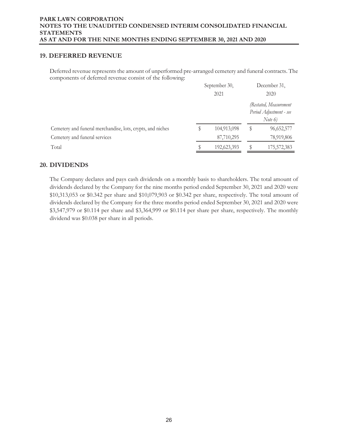## **19. DEFERRED REVENUE**

Deferred revenue represents the amount of unperformed pre-arranged cemetery and funeral contracts. The components of deferred revenue consist of the following:

|                                                            | September 30,<br>2021 |             | December 31,<br>2020 |                                                                |  |
|------------------------------------------------------------|-----------------------|-------------|----------------------|----------------------------------------------------------------|--|
|                                                            |                       |             |                      | (Restated, Measurement<br>Period Adjustment - see<br>Note $6)$ |  |
| Cemetery and funeral merchandise, lots, crypts, and niches |                       | 104,913,098 |                      | 96,652,577                                                     |  |
| Cemetery and funeral services                              |                       | 87,710,295  |                      | 78,919,806                                                     |  |
| Total                                                      |                       | 192,623,393 |                      | 175,572,383                                                    |  |

# **20. DIVIDENDS**

The Company declares and pays cash dividends on a monthly basis to shareholders. The total amount of dividends declared by the Company for the nine months period ended September 30, 2021 and 2020 were \$10,313,053 or \$0.342 per share and \$10,079,903 or \$0.342 per share, respectively. The total amount of dividends declared by the Company for the three months period ended September 30, 2021 and 2020 were \$3,547,979 or \$0.114 per share and \$3,364,999 or \$0.114 per share per share, respectively. The monthly dividend was \$0.038 per share in all periods.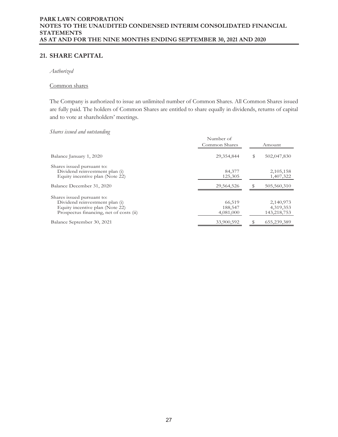# **21. SHARE CAPITAL**

*Authorized* 

#### Common shares

The Company is authorized to issue an unlimited number of Common Shares. All Common Shares issued are fully paid. The holders of Common Shares are entitled to share equally in dividends, returns of capital and to vote at shareholders' meetings.

#### *Shares issued and outstanding*

|                                                                                                                                            | Number of<br>Common Shares     | Amount |                                       |  |
|--------------------------------------------------------------------------------------------------------------------------------------------|--------------------------------|--------|---------------------------------------|--|
| Balance January 1, 2020                                                                                                                    | 29,354,844                     | \$     | 502,047,830                           |  |
| Shares issued pursuant to:<br>Dividend reinvestment plan (i)<br>Equity incentive plan (Note 22)                                            | 84,377<br>125,305              |        | 2,105,158<br>1,407,322                |  |
| Balance December 31, 2020                                                                                                                  | 29,564,526                     |        | 505,560,310                           |  |
| Shares issued pursuant to:<br>Dividend reinvestment plan (i)<br>Equity incentive plan (Note 22)<br>Prospectus financing, net of costs (ii) | 66,519<br>188,547<br>4,081,000 |        | 2,140,973<br>4,319,353<br>143,218,753 |  |
| Balance September 30, 2021                                                                                                                 | 33,900,592                     | \$     | 655,239,389                           |  |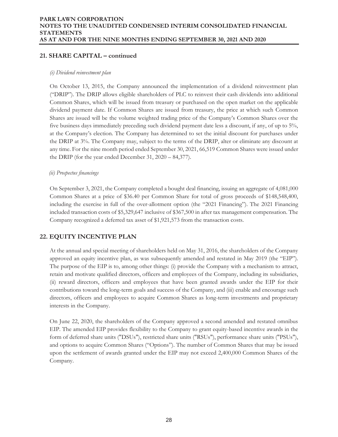# **21. SHARE CAPITAL – continued**

## *(i) Dividend reinvestment plan*

On October 13, 2015, the Company announced the implementation of a dividend reinvestment plan ("DRIP"). The DRIP allows eligible shareholders of PLC to reinvest their cash dividends into additional Common Shares, which will be issued from treasury or purchased on the open market on the applicable dividend payment date. If Common Shares are issued from treasury, the price at which such Common Shares are issued will be the volume weighted trading price of the Company's Common Shares over the five business days immediately preceding such dividend payment date less a discount, if any, of up to 5%, at the Company's election. The Company has determined to set the initial discount for purchases under the DRIP at 3%. The Company may, subject to the terms of the DRIP, alter or eliminate any discount at any time. For the nine month period ended September 30, 2021, 66,519 Common Shares were issued under the DRIP (for the year ended December 31, 2020 – 84,377).

## *(ii) Prospectus financings*

On September 3, 2021, the Company completed a bought deal financing, issuing an aggregate of 4,081,000 Common Shares at a price of \$36.40 per Common Share for total of gross proceeds of \$148,548,400, including the exercise in full of the over-allotment option (the "2021 Financing"). The 2021 Financing included transaction costs of \$5,329,647 inclusive of \$367,500 in after tax management compensation. The Company recognized a deferred tax asset of \$1,921,573 from the transaction costs.

# **22. EQUITY INCENTIVE PLAN**

At the annual and special meeting of shareholders held on May 31, 2016, the shareholders of the Company approved an equity incentive plan, as was subsequently amended and restated in May 2019 (the "EIP"). The purpose of the EIP is to, among other things: (i) provide the Company with a mechanism to attract, retain and motivate qualified directors, officers and employees of the Company, including its subsidiaries, (ii) reward directors, officers and employees that have been granted awards under the EIP for their contributions toward the long-term goals and success of the Company, and (iii) enable and encourage such directors, officers and employees to acquire Common Shares as long-term investments and proprietary interests in the Company.

On June 22, 2020, the shareholders of the Company approved a second amended and restated omnibus EIP. The amended EIP provides flexibility to the Company to grant equity-based incentive awards in the form of deferred share units ("DSUs"), restricted share units ("RSUs"), performance share units ("PSUs"), and options to acquire Common Shares ("Options"). The number of Common Shares that may be issued upon the settlement of awards granted under the EIP may not exceed 2,400,000 Common Shares of the Company.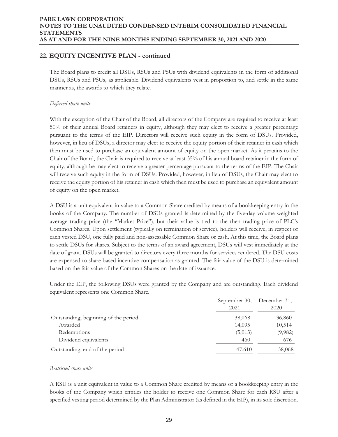# **22. EQUITY INCENTIVE PLAN - continued**

The Board plans to credit all DSUs, RSUs and PSUs with dividend equivalents in the form of additional DSUs, RSUs and PSUs, as applicable. Dividend equivalents vest in proportion to, and settle in the same manner as, the awards to which they relate.

## *Deferred share units*

With the exception of the Chair of the Board, all directors of the Company are required to receive at least 50% of their annual Board retainers in equity, although they may elect to receive a greater percentage pursuant to the terms of the EIP. Directors will receive such equity in the form of DSUs. Provided, however, in lieu of DSUs, a director may elect to receive the equity portion of their retainer in cash which then must be used to purchase an equivalent amount of equity on the open market. As it pertains to the Chair of the Board, the Chair is required to receive at least 35% of his annual board retainer in the form of equity, although he may elect to receive a greater percentage pursuant to the terms of the EIP. The Chair will receive such equity in the form of DSUs. Provided, however, in lieu of DSUs, the Chair may elect to receive the equity portion of his retainer in cash which then must be used to purchase an equivalent amount of equity on the open market.

A DSU is a unit equivalent in value to a Common Share credited by means of a bookkeeping entry in the books of the Company. The number of DSUs granted is determined by the five-day volume weighted average trading price (the "Market Price"), but their value is tied to the then trading price of PLC's Common Shares. Upon settlement (typically on termination of service), holders will receive, in respect of each vested DSU, one fully paid and non-assessable Common Share or cash. At this time, the Board plans to settle DSUs for shares. Subject to the terms of an award agreement, DSUs will vest immediately at the date of grant. DSUs will be granted to directors every three months for services rendered. The DSU costs are expensed to share based incentive compensation as granted. The fair value of the DSU is determined based on the fair value of the Common Shares on the date of issuance.

Under the EIP, the following DSUs were granted by the Company and are outstanding. Each dividend equivalent represents one Common Share.

|                                      | September 30, December 31, |         |
|--------------------------------------|----------------------------|---------|
|                                      | 2021                       | 2020    |
| Outstanding, beginning of the period | 38,068                     | 36,860  |
| Awarded                              | 14,095                     | 10,514  |
| Redemptions                          | (5,013)                    | (9,982) |
| Dividend equivalents                 | 460                        | 676     |
| Outstanding, end of the period       | 47,610                     | 38,068  |

## *Restricted share units*

A RSU is a unit equivalent in value to a Common Share credited by means of a bookkeeping entry in the books of the Company which entitles the holder to receive one Common Share for each RSU after a specified vesting period determined by the Plan Administrator (as defined in the EIP), in its sole discretion.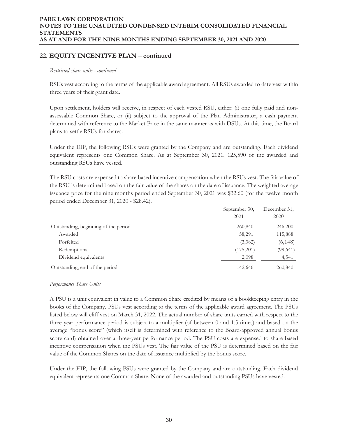# **22. EQUITY INCENTIVE PLAN – continued**

#### *Restricted share units - continued*

RSUs vest according to the terms of the applicable award agreement. All RSUs awarded to date vest within three years of their grant date.

Upon settlement, holders will receive, in respect of each vested RSU, either: (i) one fully paid and nonassessable Common Share, or (ii) subject to the approval of the Plan Administrator, a cash payment determined with reference to the Market Price in the same manner as with DSUs. At this time, the Board plans to settle RSUs for shares.

Under the EIP, the following RSUs were granted by the Company and are outstanding. Each dividend equivalent represents one Common Share. As at September 30, 2021, 125,590 of the awarded and outstanding RSUs have vested.

The RSU costs are expensed to share based incentive compensation when the RSUs vest. The fair value of the RSU is determined based on the fair value of the shares on the date of issuance. The weighted average issuance price for the nine months period ended September 30, 2021 was \$32.60 (for the twelve month period ended December 31, 2020 - \$28.42).

|                                      | September 30,<br>2021 | December 31,<br>2020 |
|--------------------------------------|-----------------------|----------------------|
| Outstanding, beginning of the period | 260,840               | 246,200              |
| Awarded                              | 58,291                | 115,888              |
| Forfeited                            | (3,382)               | (6, 148)             |
| Redemptions                          | (175,201)             | (99, 641)            |
| Dividend equivalents                 | 2,098                 | 4,541                |
| Outstanding, end of the period       | 142,646               | 260,840              |

## *Performance Share Units*

A PSU is a unit equivalent in value to a Common Share credited by means of a bookkeeping entry in the books of the Company. PSUs vest according to the terms of the applicable award agreement. The PSUs listed below will cliff vest on March 31, 2022. The actual number of share units earned with respect to the three year performance period is subject to a multiplier (of between 0 and 1.5 times) and based on the average "bonus score" (which itself is determined with reference to the Board-approved annual bonus score card) obtained over a three-year performance period. The PSU costs are expensed to share based incentive compensation when the PSUs vest. The fair value of the PSU is determined based on the fair value of the Common Shares on the date of issuance multiplied by the bonus score.

Under the EIP, the following PSUs were granted by the Company and are outstanding. Each dividend equivalent represents one Common Share. None of the awarded and outstanding PSUs have vested.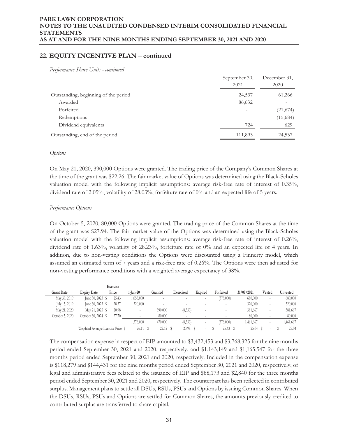# **22. EQUITY INCENTIVE PLAN – continued**

*Performance Share Units - continued* 

|                                      | September 30,<br>2021 | December 31,<br>2020 |
|--------------------------------------|-----------------------|----------------------|
| Outstanding, beginning of the period | 24,537                | 61,266               |
| Awarded                              | 86,632                |                      |
| Forfeited                            |                       | (21, 674)            |
| Redemptions                          |                       | (15,684)             |
| Dividend equivalents                 | 724                   | 629                  |
| Outstanding, end of the period       | 111,893               | 24,537               |

#### *Options*

On May 21, 2020, 390,000 Options were granted. The trading price of the Company's Common Shares at the time of the grant was \$22.26. The fair market value of Options was determined using the Black-Scholes valuation model with the following implicit assumptions: average risk-free rate of interest of 0.35%, dividend rate of 2.05%, volatility of 28.03%, forfeiture rate of 0% and an expected life of 5 years.

#### *Performance Options*

On October 5, 2020, 80,000 Options were granted. The trading price of the Common Shares at the time of the grant was \$27.94. The fair market value of the Options was determined using the Black-Scholes valuation model with the following implicit assumptions: average risk-free rate of interest of 0.26%, dividend rate of 1.63%, volatility of 28.23%, forfeiture rate of 0% and an expected life of 4 years. In addition, due to non-vesting conditions the Options were discounted using a Finnerty model, which assumed an estimated term of 7 years and a risk-free rate of 0.26%. The Options were then adjusted for non-vesting performance conditions with a weighted average expectancy of 38%.

|                   |                                    | Exercise |           |            |            |                          |            |            |                          |          |
|-------------------|------------------------------------|----------|-----------|------------|------------|--------------------------|------------|------------|--------------------------|----------|
| <b>Grant Date</b> | <b>Expiry Date</b>                 | Price    | 1-Ian-20  | Granted    | Exercised  | Expired                  | Forfeited  | 31/09/2021 | Vested                   | Unvested |
| May 30, 2019      | June $30, 2023$ \$                 | 25.43    | 1,058,000 |            |            |                          | (378,000)  | 680,000    | $\sim$                   | 680,000  |
| July 15, 2019     | June $30, 2023$ \$                 | 28.37    | 320,000   |            |            |                          |            | 320,000    | $\overline{\phantom{a}}$ | 320,000  |
| May 21, 2020      | May 21, 2025 \$                    | 20.98    |           | 390,000    | (8,333)    |                          |            | 381,667    | $\overline{\phantom{a}}$ | 381,667  |
| October 5, 2020   | October 30, 2024 \$                | 27.70    |           | 80,000     |            |                          |            | 80,000     | $\overline{\phantom{a}}$ | 80,000   |
|                   |                                    |          | 1,378,000 | 470,000    | (8, 333)   | ۰                        | (378,000)  | 1,461,667  | $\overline{\phantom{a}}$ | ,461,667 |
|                   | Weighted Average Exercise Price \$ |          | 26.11S    | $22.12$ \$ | $20.98$ \$ | $\overline{\phantom{a}}$ | $25.43$ \$ | 25.04      | $\overline{\phantom{a}}$ | 25.04    |

The compensation expense in respect of EIP amounted to \$3,432,453 and \$3,768,325 for the nine months period ended September 30, 2021 and 2020, respectively, and \$1,143,149 and \$1,165,547 for the three months period ended September 30, 2021 and 2020, respectively. Included in the compensation expense is \$118,279 and \$144,431 for the nine months period ended September 30, 2021 and 2020, respectively, of legal and administrative fees related to the issuance of EIP and \$88,173 and \$2,840 for the three months period ended September 30, 2021 and 2020, respectively. The counterpart has been reflected in contributed surplus. Management plans to settle all DSUs, RSUs, PSUs and Options by issuing Common Shares. When the DSUs, RSUs, PSUs and Options are settled for Common Shares, the amounts previously credited to contributed surplus are transferred to share capital.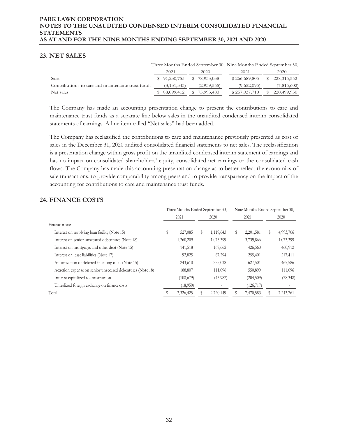# **23. NET SALES**

|                                                   |              |               |              | Three Months Ended September 30, Nine Months Ended September 30, |     |             |
|---------------------------------------------------|--------------|---------------|--------------|------------------------------------------------------------------|-----|-------------|
|                                                   | 2021         |               | 2020         | 2021                                                             |     | 2020        |
| Sales                                             | \$91,230,755 |               | \$78,933,038 | \$266,689,805                                                    | SS. | 228,315,552 |
| Contributions to care and maintenance trust funds |              | (3, 131, 343) | (2,939,555)  | (9,652,095)                                                      |     | (7,815,602) |
| Net sales                                         |              | 88,099,412    | 75,993,483   | \$257,037,710                                                    |     | 220,499,950 |

The Company has made an accounting presentation change to present the contributions to care and maintenance trust funds as a separate line below sales in the unaudited condensed interim consolidated statements of earnings. A line item called "Net sales" had been added.

The Company has reclassified the contributions to care and maintenance previously presented as cost of sales in the December 31, 2020 audited consolidated financial statements to net sales. The reclassification is a presentation change within gross profit on the unaudited condensed interim statement of earnings and has no impact on consolidated shareholders' equity, consolidated net earnings or the consolidated cash flows. The Company has made this accounting presentation change as to better reflect the economics of sale transactions, to provide comparability among peers and to provide transparency on the impact of the accounting for contributions to care and maintenance trust funds.

# **24. FINANCE COSTS**

|                                                            | Three Months Ended September 30, |            |      |           | Nine Months Ended September 30, |            |    |           |
|------------------------------------------------------------|----------------------------------|------------|------|-----------|---------------------------------|------------|----|-----------|
|                                                            | 2021<br>2020                     |            | 2021 |           | 2020                            |            |    |           |
| Finance costs:                                             |                                  |            |      |           |                                 |            |    |           |
| Interest on revolving loan facility (Note 15)              | \$                               | 527,085    | S    | 1,119,643 | \$                              | 2,201,581  | \$ | 4,993,706 |
| Interest on senior unsecured debentures (Note 18)          |                                  | 1,260,209  |      | 1,073,399 |                                 | 3,739,866  |    | 1,073,399 |
| Interest on mortgages and other debt (Note 15)             |                                  | 141,518    |      | 167,662   |                                 | 426,560    |    | 460,912   |
| Interest on lease liabilities (Note 17)                    |                                  | 92,825     |      | 67,294    |                                 | 255,401    |    | 217,411   |
| Amortization of deferred financing costs (Note 15)         |                                  | 243,610    |      | 225,038   |                                 | 627,501    |    | 465,586   |
| Accretion expense on senior unsecured debentures (Note 18) |                                  | 188,807    |      | 111,096   |                                 | 550,899    |    | 111,096   |
| Interest capitalized to construction                       |                                  | (108, 679) |      | (43,982)  |                                 | (204, 509) |    | (78, 348) |
| Unrealized foreign exchange on finance costs               |                                  | (18,950)   |      |           |                                 | (126, 717) |    |           |
| Total                                                      |                                  | 2,326,425  |      | 2,720,149 |                                 | 7,470,583  |    | 7,243,761 |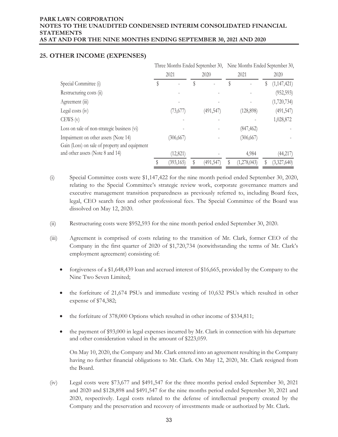|                                                                                       | Three Months Ended September 30, Nine Months Ended September 30, |            |  |           |    |             |   |               |  |
|---------------------------------------------------------------------------------------|------------------------------------------------------------------|------------|--|-----------|----|-------------|---|---------------|--|
|                                                                                       |                                                                  | 2021       |  | 2020      |    | 2021        |   | 2020          |  |
| Special Committee (i)                                                                 |                                                                  |            |  |           | \$ |             | S | (1, 147, 421) |  |
| Restructuring costs (ii)                                                              |                                                                  |            |  |           |    |             |   | (952, 593)    |  |
| Agreement (iii)                                                                       |                                                                  |            |  |           |    |             |   | (1,720,734)   |  |
| Legal costs $(iv)$                                                                    |                                                                  | (73, 677)  |  | (491,547) |    | (128, 898)  |   | (491, 547)    |  |
| CEWS(v)                                                                               |                                                                  |            |  |           |    |             |   | 1,028,872     |  |
| Loss on sale of non-strategic business (vi)                                           |                                                                  |            |  |           |    | (847, 462)  |   |               |  |
| Impairment on other assets (Note 14)<br>Gain (Loss) on sale of property and equipment |                                                                  | (306, 667) |  |           |    | (306, 667)  |   |               |  |
| and other assets (Note 8 and 14)                                                      |                                                                  | (12, 821)  |  |           |    | 4,984       |   | (44, 217)     |  |
|                                                                                       |                                                                  | (393,165)  |  | (491,547) | S  | (1,278,043) |   | (3,327,640)   |  |

# **25. OTHER INCOME (EXPENSES)**

- (i) Special Committee costs were \$1,147,422 for the nine month period ended September 30, 2020, relating to the Special Committee's strategic review work, corporate governance matters and executive management transition preparedness as previously referred to, including Board fees, legal, CEO search fees and other professional fees. The Special Committee of the Board was dissolved on May 12, 2020.
- (ii) Restructuring costs were \$952,593 for the nine month period ended September 30, 2020.
- (iii) Agreement is comprised of costs relating to the transition of Mr. Clark, former CEO of the Company in the first quarter of 2020 of \$1,720,734 (notwithstanding the terms of Mr. Clark's employment agreement) consisting of:
	- forgiveness of a \$1,648,439 loan and accrued interest of \$16,665, provided by the Company to the Nine Two Seven Limited;
	- $\bullet$  the forfeiture of 21,674 PSUs and immediate vesting of 10,632 PSUs which resulted in other expense of \$74,382;
	- $\bullet$  the forfeiture of 378,000 Options which resulted in other income of \$334,811;
	- $\bullet$  the payment of \$93,000 in legal expenses incurred by Mr. Clark in connection with his departure and other consideration valued in the amount of \$223,059.

On May 10, 2020, the Company and Mr. Clark entered into an agreement resulting in the Company having no further financial obligations to Mr. Clark. On May 12, 2020, Mr. Clark resigned from the Board.

(iv) Legal costs were \$73,677 and \$491,547 for the three months period ended September 30, 2021 and 2020 and \$128,898 and \$491,547 for the nine months period ended September 30, 2021 and 2020, respectively. Legal costs related to the defense of intellectual property created by the Company and the preservation and recovery of investments made or authorized by Mr. Clark.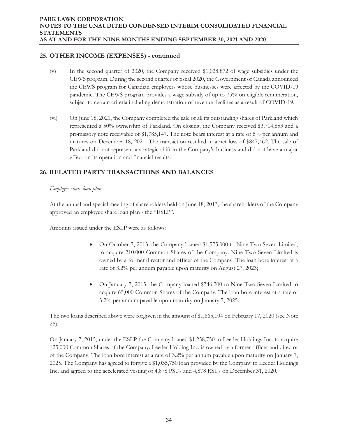# **25. OTHER INCOME (EXPENSES) - continued**

- (v) In the second quarter of 2020, the Company received \$1,028,872 of wage subsidies under the CEWS program. During the second quarter of fiscal 2020, the Government of Canada announced the CEWS program for Canadian employers whose businesses were affected by the COVID-19 pandemic. The CEWS program provides a wage subsidy of up to 75% on eligible renumeration, subject to certain criteria including demonstration of revenue declines as a result of COVID-19.
- (vi) On June 18, 2021, the Company completed the sale of all its outstanding shares of Parkland which represented a 50% ownership of Parkland. On closing, the Company received \$3,714,853 and a promissory note receivable of \$1,785,147. The note bears interest at a rate of 5% per annum and matures on December 18, 2021. The transaction resulted in a net loss of \$847,462. The sale of Parkland did not represent a strategic shift in the Company's business and did not have a major effect on its operation and financial results.

# **26. RELATED PARTY TRANSACTIONS AND BALANCES**

## *Employee share loan plan*

At the annual and special meeting of shareholders held on June 18, 2013, the shareholders of the Company approved an employee share loan plan - the "ESLP".

Amounts issued under the ESLP were as follows:

- x On October 7, 2013, the Company loaned \$1,575,000 to Nine Two Seven Limited, to acquire 210,000 Common Shares of the Company. Nine Two Seven Limited is owned by a former director and officer of the Company. The loan bore interest at a rate of 3.2% per annum payable upon maturity on August 27, 2023;
- x On January 7, 2015, the Company loaned \$746,200 to Nine Two Seven Limited to acquire 65,000 Common Shares of the Company. The loan bore interest at a rate of 3.2% per annum payable upon maturity on January 7, 2025.

The two loans described above were forgiven in the amount of \$1,665,104 on February 17, 2020 (see Note 25).

On January 7, 2015, under the ESLP the Company loaned \$1,258,750 to Leeder Holdings Inc. to acquire 125,000 Common Shares of the Company. Leeder Holding Inc. is owned by a former officer and director of the Company. The loan bore interest at a rate of 3.2% per annum payable upon maturity on January 7, 2025. The Company has agreed to forgive a \$1,035,750 loan provided by the Company to Leeder Holdings Inc. and agreed to the accelerated vesting of 4,878 PSUs and 4,878 RSUs on December 31, 2020.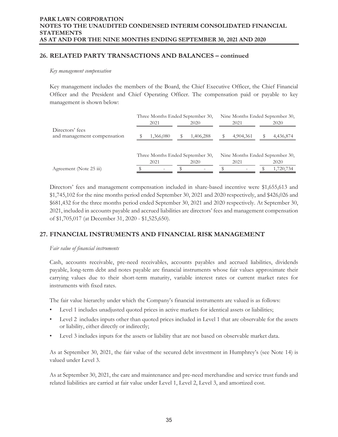# **26. RELATED PARTY TRANSACTIONS AND BALANCES – continued**

#### *Key management compensation*

Key management includes the members of the Board, the Chief Executive Officer, the Chief Financial Officer and the President and Chief Operating Officer. The compensation paid or payable to key management is shown below:

|                                                | Three Months Ended September 30, |                          |  |           | Nine Months Ended September 30, |                 |                                 |           |
|------------------------------------------------|----------------------------------|--------------------------|--|-----------|---------------------------------|-----------------|---------------------------------|-----------|
|                                                |                                  | 2021                     |  | 2020      |                                 | 2021            |                                 | 2020      |
| Directors' fees<br>and management compensation |                                  | 1,366,080                |  | 1,406,288 |                                 | 4,904,361       |                                 | 4,436,874 |
|                                                | Three Months Ended September 30, |                          |  |           |                                 |                 | Nine Months Ended September 30, |           |
|                                                |                                  | 2021                     |  | 2020      |                                 | 2021            |                                 | 2020      |
| Agreement (Note 25 iii)                        |                                  | $\overline{\phantom{0}}$ |  |           |                                 | $\qquad \qquad$ |                                 | 1,720,734 |

Directors' fees and management compensation included in share-based incentive were \$1,655,613 and \$1,745,102 for the nine months period ended September 30, 2021 and 2020 respectively, and \$426,026 and \$681,432 for the three months period ended September 30, 2021 and 2020 respectively. At September 30, 2021, included in accounts payable and accrued liabilities are directors' fees and management compensation of \$1,705,017 (at December 31, 2020 - \$1,525,650).

# **27. FINANCIAL INSTRUMENTS AND FINANCIAL RISK MANAGEMENT**

#### *Fair value of financial instruments*

Cash, accounts receivable, pre-need receivables, accounts payables and accrued liabilities, dividends payable, long-term debt and notes payable are financial instruments whose fair values approximate their carrying values due to their short-term maturity, variable interest rates or current market rates for instruments with fixed rates.

The fair value hierarchy under which the Company's financial instruments are valued is as follows:

- Level 1 includes unadjusted quoted prices in active markets for identical assets or liabilities;
- Level 2 includes inputs other than quoted prices included in Level 1 that are observable for the assets or liability, either directly or indirectly;
- Level 3 includes inputs for the assets or liability that are not based on observable market data.

As at September 30, 2021, the fair value of the secured debt investment in Humphrey's (see Note 14) is valued under Level 3.

As at September 30, 2021, the care and maintenance and pre-need merchandise and service trust funds and related liabilities are carried at fair value under Level 1, Level 2, Level 3, and amortized cost.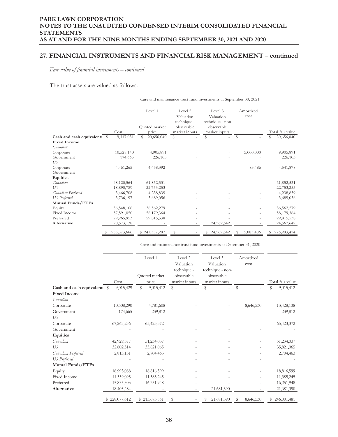## **27. FINANCIAL INSTRUMENTS AND FINANCIAL RISK MANAGEMENT – continued**

*Fair value of financial instruments – continued* 

The trust assets are valued as follows:

|                              |             |                                   | Care and maintenance trust fund investments at September 30, 2021  |                                                                         |                   |                  |  |  |  |
|------------------------------|-------------|-----------------------------------|--------------------------------------------------------------------|-------------------------------------------------------------------------|-------------------|------------------|--|--|--|
|                              | Cost        | Level 1<br>Quoted market<br>price | Level 2<br>Valuation<br>technique -<br>observable<br>market inputs | Level 3<br>Valuation<br>technique - non-<br>observable<br>market inputs | Amortized<br>cost | Total fair value |  |  |  |
| Cash and cash equivalents \$ | 19,317,031  | \$<br>20,656,040                  | \$                                                                 | S                                                                       | \$                | 20,656,040<br>ς  |  |  |  |
| <b>Fixed Income</b>          |             |                                   |                                                                    |                                                                         |                   |                  |  |  |  |
| Canadian                     |             |                                   |                                                                    |                                                                         |                   |                  |  |  |  |
| Corporate                    | 10,528,140  | 4,905,891                         |                                                                    |                                                                         | 5,000,000         | 9,905,891        |  |  |  |
| Government                   | 174,665     | 226,103                           |                                                                    |                                                                         |                   | 226,103          |  |  |  |
| US                           |             |                                   |                                                                    |                                                                         |                   |                  |  |  |  |
| Corporate                    | 4,461,265   | 4,458,392                         |                                                                    |                                                                         | 83,486            | 4,541,878        |  |  |  |
| Government                   |             |                                   |                                                                    |                                                                         |                   |                  |  |  |  |
| Equities                     |             |                                   |                                                                    |                                                                         |                   |                  |  |  |  |
| Canadian                     | 48,120,564  | 61,852,531                        |                                                                    |                                                                         |                   | 61,852,531       |  |  |  |
| US                           | 18,890,789  | 22,753,253                        |                                                                    |                                                                         |                   | 22,753,253       |  |  |  |
| Canadian Preferred           | 3,466,708   | 4,238,839                         |                                                                    |                                                                         |                   | 4,238,839        |  |  |  |
| <b>US</b> Preferred          | 3,736,197   | 3,689,056                         |                                                                    |                                                                         |                   | 3,689,056        |  |  |  |
| <b>Mutual Funds/ETFs</b>     |             |                                   |                                                                    |                                                                         |                   |                  |  |  |  |
| Equity                       | 36,548,166  | 36,562,279                        |                                                                    |                                                                         |                   | 36,562,279       |  |  |  |
| <b>Fixed Income</b>          | 57,591,050  | 58,179,364                        |                                                                    |                                                                         |                   | 58,179,364       |  |  |  |
| Preferred                    | 29,965,953  | 29,815,538                        |                                                                    |                                                                         |                   | 29,815,538       |  |  |  |
| <b>Alternative</b>           | 20,573,138  |                                   |                                                                    | 24,562,642                                                              |                   | 24,562,642       |  |  |  |
|                              | 253,373,666 | \$247,337,287                     |                                                                    | 24,562,642<br>S                                                         | 5,083,486<br>S    | 276,983,414<br>S |  |  |  |

Care and maintenance trust fund investments at December 31, 2020

|                              |             | Level 1                   | Level 2<br>Valuation<br>technique - | Level 3<br>Valuation<br>technique - non- | Amortized<br>cost |                  |
|------------------------------|-------------|---------------------------|-------------------------------------|------------------------------------------|-------------------|------------------|
|                              |             | Quoted market             | observable                          | observable                               |                   |                  |
|                              | Cost        | price                     | market inputs                       | market inputs                            |                   | Total fair value |
| Cash and cash equivalent: \$ | 9,015,429   | $\mathbb{S}$<br>9,015,412 | $\mathbb{S}$                        | \$                                       | \$                | S<br>9,015,412   |
| <b>Fixed Income</b>          |             |                           |                                     |                                          |                   |                  |
| Canadian                     |             |                           |                                     |                                          |                   |                  |
| Corporate                    | 10,508,290  | 4,781,608                 |                                     |                                          | 8,646,530         | 13,428,138       |
| Government                   | 174,665     | 239,812                   |                                     |                                          |                   | 239,812          |
| US                           |             |                           |                                     |                                          |                   |                  |
| Corporate                    | 67,263,236  | 65,423,372                |                                     |                                          |                   | 65,423,372       |
| Government                   |             |                           |                                     |                                          |                   |                  |
| Equities                     |             |                           |                                     |                                          |                   |                  |
| Canadian                     | 42,929,577  | 51,234,037                |                                     |                                          |                   | 51,234,037       |
| US                           | 32,802,514  | 35,821,065                |                                     |                                          |                   | 35,821,065       |
| Canadian Preferred           | 2,813,131   | 2,704,463                 |                                     |                                          |                   | 2,704,463        |
| <b>US</b> Preferred          |             |                           |                                     |                                          |                   |                  |
| <b>Mutual Funds/ETFs</b>     |             |                           |                                     |                                          |                   |                  |
| Equity                       | 16,993,088  | 18,816,599                |                                     |                                          |                   | 18,816,599       |
| Fixed Income                 | 11,339,095  | 11,385,245                |                                     |                                          |                   | 11,385,245       |
| Preferred                    | 15,835,303  | 16,251,948                |                                     |                                          |                   | 16,251,948       |
| Alternative                  | 18,403,284  |                           |                                     | 21,681,390                               |                   | 21,681,390       |
|                              | 228,077,612 | \$215,673,561             | \$                                  | 21,681,390<br>S                          | 8,646,530<br>\$   | \$246,001,481    |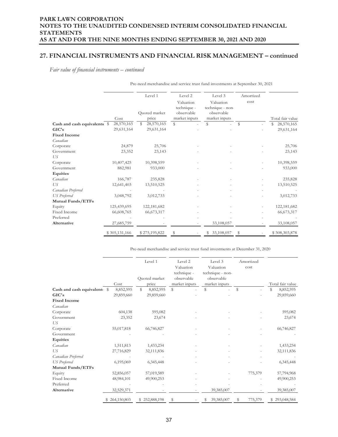## **27. FINANCIAL INSTRUMENTS AND FINANCIAL RISK MANAGEMENT – continued**

*Fair value of financial instruments – continued* 

|                              |                    | Level 1<br>Quoted market | Level 2<br>Valuation<br>technique -<br>observable<br>market inputs | Level 3<br>Valuation<br>technique - non-<br>observable | Amortized<br>cost | Total fair value |
|------------------------------|--------------------|--------------------------|--------------------------------------------------------------------|--------------------------------------------------------|-------------------|------------------|
| Cash and cash equivalents \$ | Cost<br>28,570,165 | price<br>28,570,165<br>S | $\mathbb{S}$                                                       | market inputs<br>\$                                    | $\mathbb S$       | 28,570,165<br>S  |
| GIC's                        | 29,631,164         | 29,631,164               |                                                                    |                                                        |                   | 29,631,164       |
| <b>Fixed Income</b>          |                    |                          |                                                                    |                                                        |                   |                  |
| Canadian                     |                    |                          |                                                                    |                                                        |                   |                  |
| Corporate                    | 24,879             | 25,706                   |                                                                    |                                                        |                   | 25,706           |
| Government                   | 23,352             | 23,143                   |                                                                    |                                                        |                   | 23,143           |
| US                           |                    |                          |                                                                    |                                                        |                   |                  |
| Corporate                    | 10,407,425         | 10,398,559               |                                                                    |                                                        |                   | 10,398,559       |
| Government                   | 882,981            | 933,000                  |                                                                    |                                                        |                   | 933,000          |
| Equities                     |                    |                          |                                                                    |                                                        |                   |                  |
| Canadian                     | 166,787            | 235,828                  |                                                                    |                                                        |                   | 235,828          |
| US                           | 12,641,403         | 13,510,525               |                                                                    |                                                        |                   | 13,510,525       |
| Canadian Preferred           |                    |                          |                                                                    |                                                        |                   |                  |
| <b>US</b> Preferred          | 3,048,792          | 3,012,733                |                                                                    |                                                        |                   | 3,012,733        |
| <b>Mutual Funds/ETFs</b>     |                    |                          |                                                                    |                                                        |                   |                  |
| Equity                       | 125,439,695        | 122,181,682              |                                                                    |                                                        |                   | 122,181,682      |
| Fixed Income                 | 66,608,765         | 66,673,317               |                                                                    |                                                        |                   | 66,673,317       |
| Preferred                    |                    |                          |                                                                    |                                                        |                   |                  |
| Alternative                  | 27,685,759         |                          |                                                                    | 33,108,057                                             |                   | 33,108,057       |
|                              | \$305,131,166      | \$275,195,822            | S                                                                  | 33,108,057                                             | S                 | \$308,303,878    |

Pre-need merchandise and service trust fund investments at September 30, 2021

Pre-need merchandise and service trust fund investments at December 31, 2020

|                              |               | Level 1        | Level 2<br>Valuation<br>technique - | Level 3<br>Valuation<br>technique - non- | Amortized<br>cost |                  |  |
|------------------------------|---------------|----------------|-------------------------------------|------------------------------------------|-------------------|------------------|--|
|                              |               | Quoted market  | observable                          | observable                               |                   |                  |  |
|                              | Cost          | price          | market inputs                       | market inputs                            |                   | Total fair value |  |
| Cash and cash equivalent: \$ | 8,852,595     | S<br>8,852,595 | ${\mathbb S}$                       | S                                        | $\mathbb{S}$      | \$<br>8,852,595  |  |
| GIC's                        | 29,859,660    | 29,859,660     |                                     |                                          |                   | 29,859,660       |  |
| <b>Fixed Income</b>          |               |                |                                     |                                          |                   |                  |  |
| Canadian                     |               |                |                                     |                                          |                   |                  |  |
| Corporate                    | 604,138       | 595,082        |                                     |                                          |                   | 595,082          |  |
| Government                   | 23,352        | 23,674         |                                     |                                          |                   | 23,674           |  |
| US                           |               |                |                                     |                                          |                   |                  |  |
| Corporate                    | 55,017,818    | 66,746,827     |                                     |                                          |                   | 66,746,827       |  |
| Government                   |               |                |                                     |                                          |                   |                  |  |
| Equities                     |               |                |                                     |                                          |                   |                  |  |
| Canadian                     | 1,511,813     | 1,433,234      |                                     |                                          |                   | 1,433,234        |  |
| US                           | 27,716,829    | 32,111,836     |                                     |                                          |                   | 32,111,836       |  |
| Canadian Preferred           |               |                |                                     |                                          |                   |                  |  |
| <b>US</b> Preferred          | 6,195,069     | 6,345,448      |                                     |                                          |                   | 6,345,448        |  |
| Mutual Funds/ETFs            |               |                |                                     |                                          |                   |                  |  |
| Equity                       | 52,856,057    | 57,019,589     |                                     |                                          | 775,379           | 57,794,968       |  |
| <b>Fixed Income</b>          | 48,984,101    | 49,900,253     |                                     |                                          |                   | 49,900,253       |  |
| Preferred                    |               |                |                                     |                                          |                   |                  |  |
| Alternative                  | 32,529,371    |                |                                     | 39,385,007                               |                   | 39,385,007       |  |
|                              | \$264,150,803 | \$252,888,198  | \$                                  | 39,385,007<br>s                          | S<br>775,379      | \$293,048,584    |  |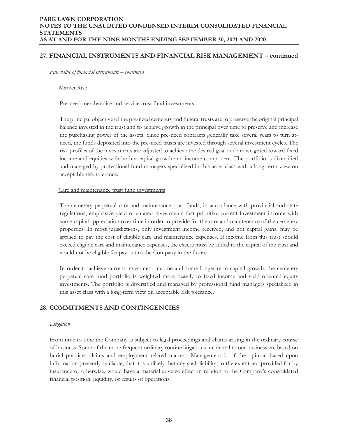## **27. FINANCIAL INSTRUMENTS AND FINANCIAL RISK MANAGEMENT – continued**

*Fair value of financial instruments – continued* 

Market Risk

#### Pre-need merchandise and service trust fund investments

The principal objective of the pre-need cemetery and funeral trusts are to preserve the original principal balance invested in the trust and to achieve growth in the principal over time to preserve and increase the purchasing power of the assets. Since pre-need contracts generally take several years to turn atneed, the funds deposited into the pre-need trusts are invested through several investment cycles. The risk profiles of the investments are adjusted to achieve the desired goal and are weighted toward fixed income and equities with both a capital growth and income component. The portfolio is diversified and managed by professional fund managers specialized in this asset class with a long-term view on acceptable risk tolerance.

#### Care and maintenance trust fund investments

The cemetery perpetual care and maintenance trust funds, in accordance with provincial and state regulations, emphasize yield orientated investments that prioritize current investment income with some capital appreciation over time in order to provide for the care and maintenance of the cemetery properties. In most jurisdictions, only investment income received, and not capital gains, may be applied to pay the cost of eligible care and maintenance expenses. If income from this trust should exceed eligible care and maintenance expenses, the excess must be added to the capital of the trust and would not be eligible for pay out to the Company in the future.

In order to achieve current investment income and some longer-term capital growth, the cemetery perpetual care fund portfolio is weighted more heavily to fixed income and yield oriented equity investments. The portfolio is diversified and managed by professional fund managers specialized in this asset class with a long-term view on acceptable risk tolerance.

# **28. COMMITMENTS AND CONTINGENCIES**

#### *Litigation*

From time to time the Company is subject to legal proceedings and claims arising in the ordinary course of business. Some of the more frequent ordinary routine litigations incidental to our business are based on burial practices claims and employment related matters. Management is of the opinion based upon information presently available, that it is unlikely that any such liability, to the extent not provided for by insurance or otherwise, would have a material adverse effect in relation to the Company's consolidated financial position, liquidity, or results of operations.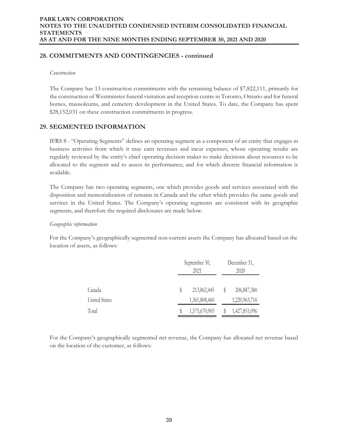# **28. COMMITMENTS AND CONTINGENCIES - continued**

#### *Construction*

The Company has 13 construction commitments with the remaining balance of \$7,822,111, primarily for the construction of Westminster funeral visitation and reception centre in Toronto, Ontario and for funeral homes, mausoleums, and cemetery development in the United States. To date, the Company has spent \$28,152,031 on these construction commitments in progress.

# **29. SEGMENTED INFORMATION**

 IFRS 8 - "Operating Segments" defines an operating segment as a component of an entity that engages in business activities from which it may earn revenues and incur expenses; whose operating results are regularly reviewed by the entity's chief operating decision maker to make decisions about resources to be allocated to the segment and to assess its performance; and for which discrete financial information is available.

The Company has two operating segments, one which provides goods and services associated with the disposition and memorialization of remains in Canada and the other which provides the same goods and services in the United States. The Company's operating segments are consistent with its geographic segments, and therefore the required disclosures are made below.

## *Geographic information*

For the Company's geographically segmented non-current assets the Company has allocated based on the location of assets, as follows:

|                      | September 30,<br>2021 |               |  | December 31,<br>2020 |  |  |
|----------------------|-----------------------|---------------|--|----------------------|--|--|
| Canada               |                       | 213,862,445   |  | 206,887,380          |  |  |
| <b>United States</b> |                       | 1,361,808,460 |  | 1,220,963,716        |  |  |
| Total                |                       | 1,575,670,905 |  | 1,427,851,096        |  |  |

For the Company's geographically segmented net revenue, the Company has allocated net revenue based on the location of the customer, as follows: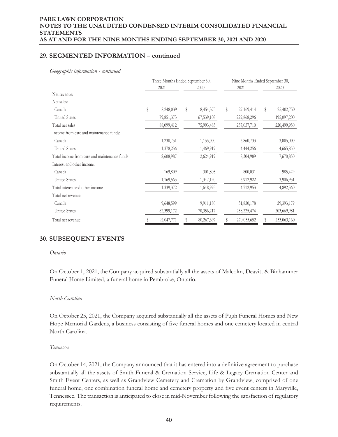# **29. SEGMENTED INFORMATION – continued**

*Geographic information - continued* 

|                                              | Three Months Ended September 30, |            |      |            | Nine Months Ended September 30, |             |      |             |  |
|----------------------------------------------|----------------------------------|------------|------|------------|---------------------------------|-------------|------|-------------|--|
|                                              | 2021                             |            | 2020 |            |                                 | 2021        | 2020 |             |  |
| Net revenue:                                 |                                  |            |      |            |                                 |             |      |             |  |
| Net sales:                                   |                                  |            |      |            |                                 |             |      |             |  |
| Canada                                       | $\mathbb S$                      | 8,248,039  | \$   | 8,454,375  | \$                              | 27,169,414  | S    | 25,402,750  |  |
| <b>United States</b>                         |                                  | 79,851,373 |      | 67,539,108 |                                 | 229,868,296 |      | 195,097,200 |  |
| Total net sales                              |                                  | 88,099,412 |      | 75,993,483 |                                 | 257,037,710 |      | 220,499,950 |  |
| Income from care and maintenance funds:      |                                  |            |      |            |                                 |             |      |             |  |
| Canada                                       |                                  | 1,230,751  |      | 1,155,000  |                                 | 3,860,733   |      | 3,005,000   |  |
| <b>United States</b>                         |                                  | 1,378,236  |      | 1,469,919  |                                 | 4,444,256   |      | 4,665,850   |  |
| Total income from care and maintenance funds |                                  | 2,608,987  |      | 2,624,919  |                                 | 8,304,989   |      | 7,670,850   |  |
| Interest and other income:                   |                                  |            |      |            |                                 |             |      |             |  |
| Canada                                       |                                  | 169,809    |      | 301,805    |                                 | 800,031     |      | 985,429     |  |
| <b>United States</b>                         |                                  | 1,169,563  |      | 1,347,190  |                                 | 3,912,922   |      | 3,906,931   |  |
| Total interest and other income              |                                  | 1,339,372  |      | 1,648,995  |                                 | 4,712,953   |      | 4,892,360   |  |
| Total net revenue:                           |                                  |            |      |            |                                 |             |      |             |  |
| Canada                                       |                                  | 9,648,599  |      | 9,911,180  |                                 | 31,830,178  |      | 29,393,179  |  |
| <b>United States</b>                         |                                  | 82,399,172 |      | 70,356,217 |                                 | 238,225,474 |      | 203,669,981 |  |
| Total net revenue                            |                                  | 92,047,771 |      | 80,267,397 |                                 | 270,055,652 |      | 233,063,160 |  |

# **30. SUBSEQUENT EVENTS**

#### *Ontario*

On October 1, 2021, the Company acquired substantially all the assets of Malcolm, Deavitt & Binhammer Funeral Home Limited, a funeral home in Pembroke, Ontario.

#### *North Carolina*

On October 25, 2021, the Company acquired substantially all the assets of Pugh Funeral Homes and New Hope Memorial Gardens, a business consisting of five funeral homes and one cemetery located in central North Carolina.

#### *Tennessee*

On October 14, 2021, the Company announced that it has entered into a definitive agreement to purchase substantially all the assets of Smith Funeral & Cremation Service, Life & Legacy Cremation Center and Smith Event Centers, as well as Grandview Cemetery and Cremation by Grandview, comprised of one funeral home, one combination funeral home and cemetery property and five event centers in Maryville, Tennessee. The transaction is anticipated to close in mid-November following the satisfaction of regulatory requirements.